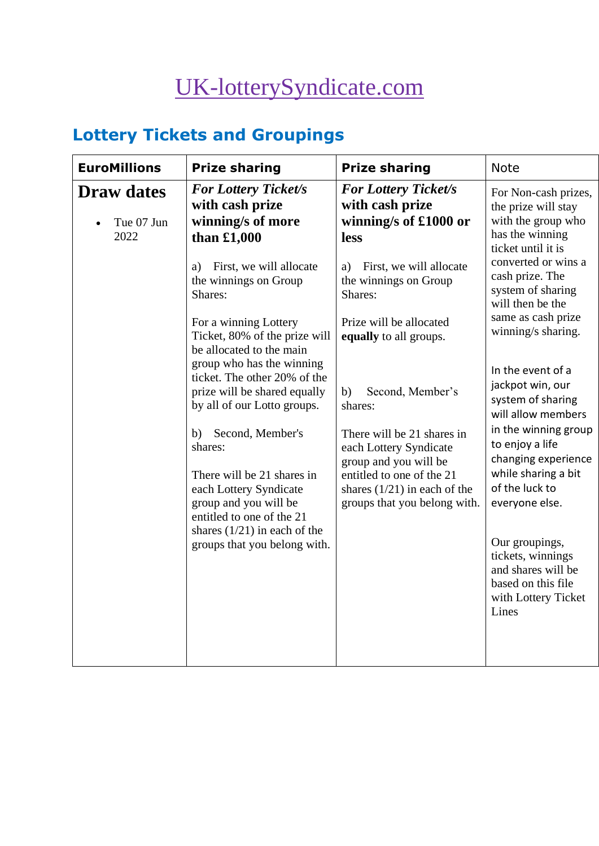# [UK-lotterySyndicate.com](http://www.uk-lotterysyndicate.com/)

# **Lottery Tickets and Groupings**

| <b>EuroMillions</b>                     | <b>Prize sharing</b>                                                                                            | <b>Prize sharing</b>                                                                                       | <b>Note</b>                                                                                                                                                                                                                               |
|-----------------------------------------|-----------------------------------------------------------------------------------------------------------------|------------------------------------------------------------------------------------------------------------|-------------------------------------------------------------------------------------------------------------------------------------------------------------------------------------------------------------------------------------------|
| <b>Draw dates</b><br>Tue 07 Jun<br>2022 | <b>For Lottery Ticket/s</b><br>with cash prize<br>winning/s of more<br>than $£1,000$                            | <b>For Lottery Ticket/s</b><br>with cash prize<br>winning/s of £1000 or<br>less                            | For Non-cash prizes,<br>the prize will stay<br>with the group who<br>has the winning<br>ticket until it is<br>converted or wins a<br>cash prize. The<br>system of sharing<br>will then be the<br>same as cash prize<br>winning/s sharing. |
|                                         | First, we will allocate<br>a)<br>the winnings on Group<br>Shares:                                               | First, we will allocate<br>a)<br>the winnings on Group<br>Shares:                                          |                                                                                                                                                                                                                                           |
|                                         | For a winning Lottery<br>Ticket, 80% of the prize will<br>be allocated to the main<br>group who has the winning | Prize will be allocated<br>equally to all groups.                                                          |                                                                                                                                                                                                                                           |
|                                         | ticket. The other 20% of the<br>prize will be shared equally<br>by all of our Lotto groups.                     | Second, Member's<br>b)<br>shares:                                                                          | In the event of a<br>jackpot win, our<br>system of sharing<br>will allow members                                                                                                                                                          |
|                                         | Second, Member's<br>b)<br>shares:<br>There will be 21 shares in                                                 | There will be 21 shares in<br>each Lottery Syndicate<br>group and you will be<br>entitled to one of the 21 | in the winning group<br>to enjoy a life<br>changing experience<br>while sharing a bit                                                                                                                                                     |
|                                         | each Lottery Syndicate<br>group and you will be<br>entitled to one of the 21                                    | shares $(1/21)$ in each of the<br>groups that you belong with.                                             | of the luck to<br>everyone else.                                                                                                                                                                                                          |
|                                         | shares $(1/21)$ in each of the<br>groups that you belong with.                                                  |                                                                                                            | Our groupings,<br>tickets, winnings<br>and shares will be<br>based on this file<br>with Lottery Ticket<br>Lines                                                                                                                           |
|                                         |                                                                                                                 |                                                                                                            |                                                                                                                                                                                                                                           |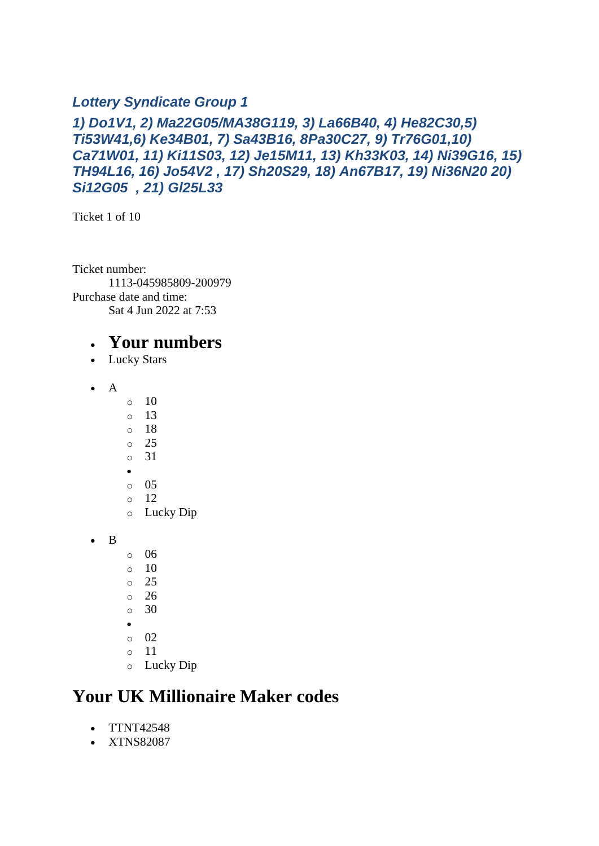#### *Lottery Syndicate Group 1*

#### *1) Do1V1, 2) Ma22G05/MA38G119, 3) La66B40, 4) He82C30,5) Ti53W41,6) Ke34B01, 7) Sa43B16, 8Pa30C27, 9) Tr76G01,10) Ca71W01, 11) Ki11S03, 12) Je15M11, 13) Kh33K03, 14) Ni39G16, 15) TH94L16, 16) Jo54V2 , 17) Sh20S29, 18) An67B17, 19) Ni36N20 20) Si12G05 , 21) Gl25L33*

Ticket 1 of 10

Ticket number: 1113-045985809-200979 Purchase date and time: Sat 4 Jun 2022 at 7:53

#### • **Your numbers**

- Lucky Stars
- A
- $\circ$  10
- $\circ$  13
- o 18
- o 25
- o 31 •
- o 05
- $\circ$  12
- o Lucky Dip
- B
- o 06
- $\circ$  10
- o 25
- o 26
- o 30
- •
- $\circ$  02
- o 11
- o Lucky Dip

### **Your UK Millionaire Maker codes**

- TTNT42548
- XTNS82087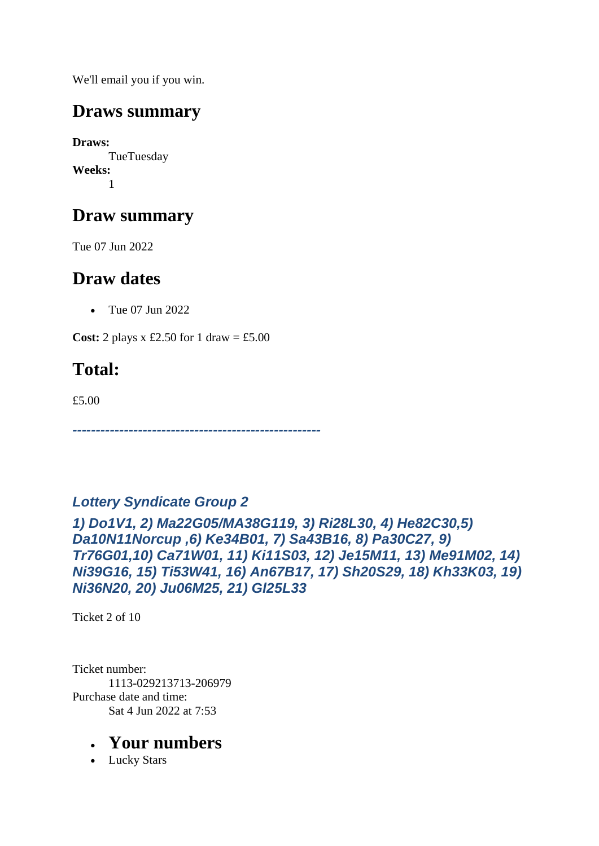We'll email you if you win.

### **Draws summary**

**Draws:** TueTuesday **Weeks:** 1

### **Draw summary**

Tue 07 Jun 2022

### **Draw dates**

• Tue 07 Jun 2022

**Cost:** 2 plays x £2.50 for 1 draw = £5.00

# **Total:**

£5.00

*-----------------------------------------------------*

#### *Lottery Syndicate Group 2*

*1) Do1V1, 2) Ma22G05/MA38G119, 3) Ri28L30, 4) He82C30,5) Da10N11Norcup ,6) Ke34B01, 7) Sa43B16, 8) Pa30C27, 9) Tr76G01,10) Ca71W01, 11) Ki11S03, 12) Je15M11, 13) Me91M02, 14) Ni39G16, 15) Ti53W41, 16) An67B17, 17) Sh20S29, 18) Kh33K03, 19) Ni36N20, 20) Ju06M25, 21) Gl25L33*

Ticket 2 of 10

Ticket number: 1113-029213713-206979 Purchase date and time: Sat 4 Jun 2022 at 7:53

#### • **Your numbers**

• Lucky Stars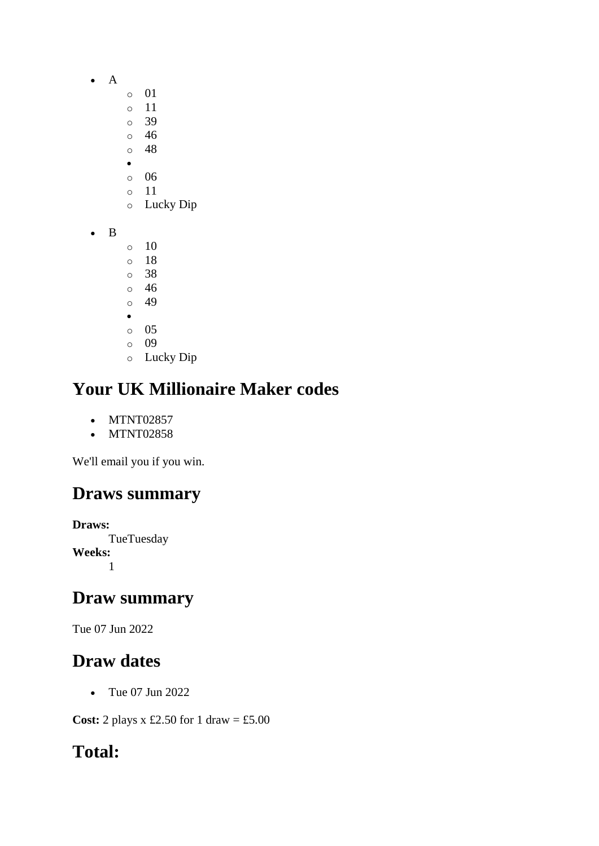- A
	- o 01
	- o 11
	- o 39
	- o 46 o 48
	- •
	- o 06
	- o 11
	- o Lucky Dip
- B
- $\circ$  10 o 18
- o 38
- o 46
- o 49 •
- o 05
- o 09
- o Lucky Dip

- MTNT02857
- MTNT02858

We'll email you if you win.

# **Draws summary**

**Draws: TueTuesday Weeks:** 1

### **Draw summary**

Tue 07 Jun 2022

# **Draw dates**

• Tue 07 Jun 2022

**Cost:** 2 plays x £2.50 for 1 draw = £5.00

# **Total:**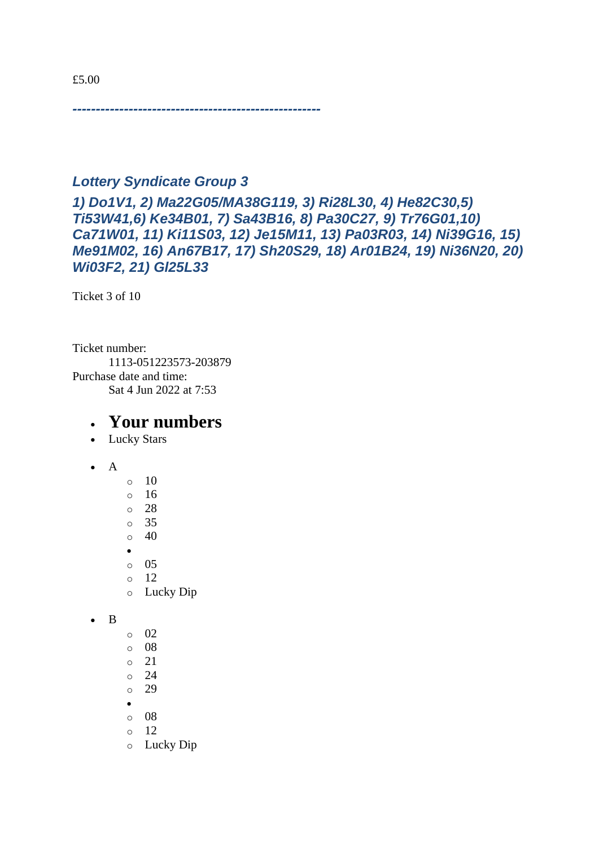*-----------------------------------------------------*

#### *Lottery Syndicate Group 3*

*1) Do1V1, 2) Ma22G05/MA38G119, 3) Ri28L30, 4) He82C30,5) Ti53W41,6) Ke34B01, 7) Sa43B16, 8) Pa30C27, 9) Tr76G01,10) Ca71W01, 11) Ki11S03, 12) Je15M11, 13) Pa03R03, 14) Ni39G16, 15) Me91M02, 16) An67B17, 17) Sh20S29, 18) Ar01B24, 19) Ni36N20, 20) Wi03F2, 21) Gl25L33*

Ticket 3 of 10

Ticket number: 1113-051223573-203879 Purchase date and time: Sat 4 Jun 2022 at 7:53

- Lucky Stars
- A
- $\circ$  10 o 16 o 28 o 35  $\circ$  40 • o 05 o 12 o Lucky Dip
- B
- o 02
- o 08
- o 21
- o 24
- o 29 •
- o 08
- o 12
- o Lucky Dip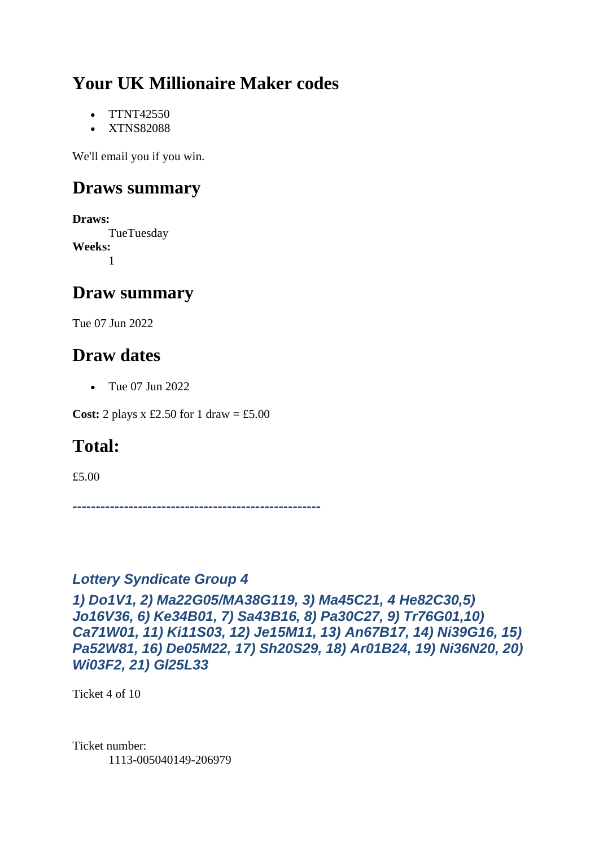- TTNT42550
- XTNS82088

We'll email you if you win.

### **Draws summary**

**Draws:** TueTuesday **Weeks:** 1

### **Draw summary**

Tue 07 Jun 2022

### **Draw dates**

• Tue 07 Jun 2022

**Cost:** 2 plays x £2.50 for 1 draw = £5.00

### **Total:**

£5.00

*-----------------------------------------------------*

#### *Lottery Syndicate Group 4*

*1) Do1V1, 2) Ma22G05/MA38G119, 3) Ma45C21, 4 He82C30,5) Jo16V36, 6) Ke34B01, 7) Sa43B16, 8) Pa30C27, 9) Tr76G01,10) Ca71W01, 11) Ki11S03, 12) Je15M11, 13) An67B17, 14) Ni39G16, 15) Pa52W81, 16) De05M22, 17) Sh20S29, 18) Ar01B24, 19) Ni36N20, 20) Wi03F2, 21) Gl25L33*

Ticket 4 of 10

Ticket number: 1113-005040149-206979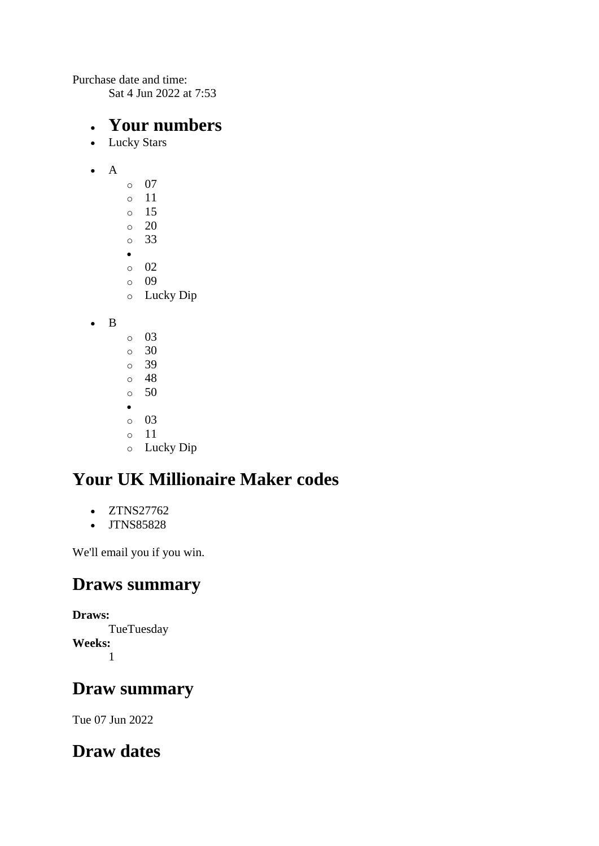Purchase date and time:

Sat 4 Jun 2022 at 7:53

#### • **Your numbers**

- Lucky Stars
- A
- o 07 o 11 o 15  $\circ$  20 o 33 • o 02 o 09 o Lucky Dip
- B
- o 03 o 30 o 39 o 48 o 50 • o 03 o 11 o Lucky Dip

# **Your UK Millionaire Maker codes**

- ZTNS27762
- JTNS85828

We'll email you if you win.

### **Draws summary**

**Draws: TueTuesday Weeks:**

1

### **Draw summary**

Tue 07 Jun 2022

### **Draw dates**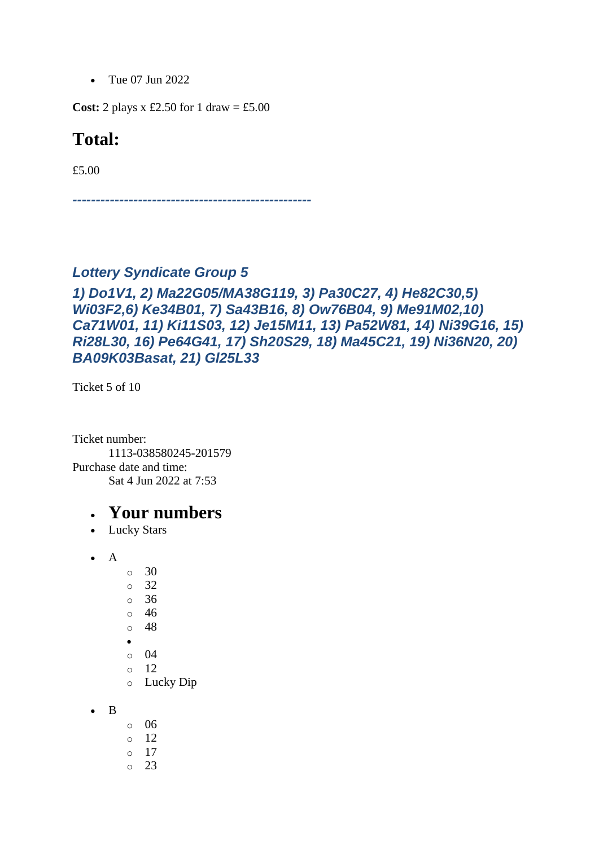• Tue 07 Jun 2022

**Cost:** 2 plays x £2.50 for 1 draw = £5.00

#### **Total:**

£5.00

*---------------------------------------------------*

#### *Lottery Syndicate Group 5*

#### *1) Do1V1, 2) Ma22G05/MA38G119, 3) Pa30C27, 4) He82C30,5) Wi03F2,6) Ke34B01, 7) Sa43B16, 8) Ow76B04, 9) Me91M02,10) Ca71W01, 11) Ki11S03, 12) Je15M11, 13) Pa52W81, 14) Ni39G16, 15) Ri28L30, 16) Pe64G41, 17) Sh20S29, 18) Ma45C21, 19) Ni36N20, 20) BA09K03Basat, 21) Gl25L33*

Ticket 5 of 10

Ticket number: 1113-038580245-201579 Purchase date and time: Sat 4 Jun 2022 at 7:53

- Lucky Stars
- A
- o 30 o 32 o 36 o 46 o 48 •  $\circ$  04 o 12
- o Lucky Dip
- B
- o 06  $\circ$  12 o 17
- $\circ$  23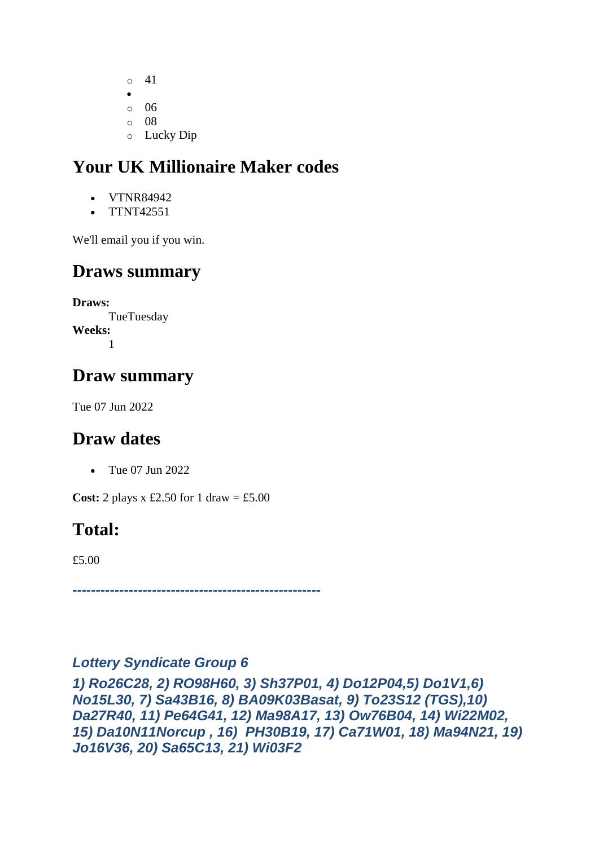- o 41 • o 06
- $\circ$  08
- o Lucky Dip

- VTNR84942
- TTNT42551

We'll email you if you win.

# **Draws summary**

**Draws: TueTuesday Weeks:** 1

# **Draw summary**

Tue 07 Jun 2022

# **Draw dates**

• Tue 07 Jun 2022

**Cost:** 2 plays  $x \text{ £}2.50$  for 1 draw = £5.00

# **Total:**

£5.00

*-----------------------------------------------------*

#### *Lottery Syndicate Group 6*

*1) Ro26C28, 2) RO98H60, 3) Sh37P01, 4) Do12P04,5) Do1V1,6) No15L30, 7) Sa43B16, 8) BA09K03Basat, 9) To23S12 (TGS),10) Da27R40, 11) Pe64G41, 12) Ma98A17, 13) Ow76B04, 14) Wi22M02, 15) Da10N11Norcup , 16) PH30B19, 17) Ca71W01, 18) Ma94N21, 19) Jo16V36, 20) Sa65C13, 21) Wi03F2*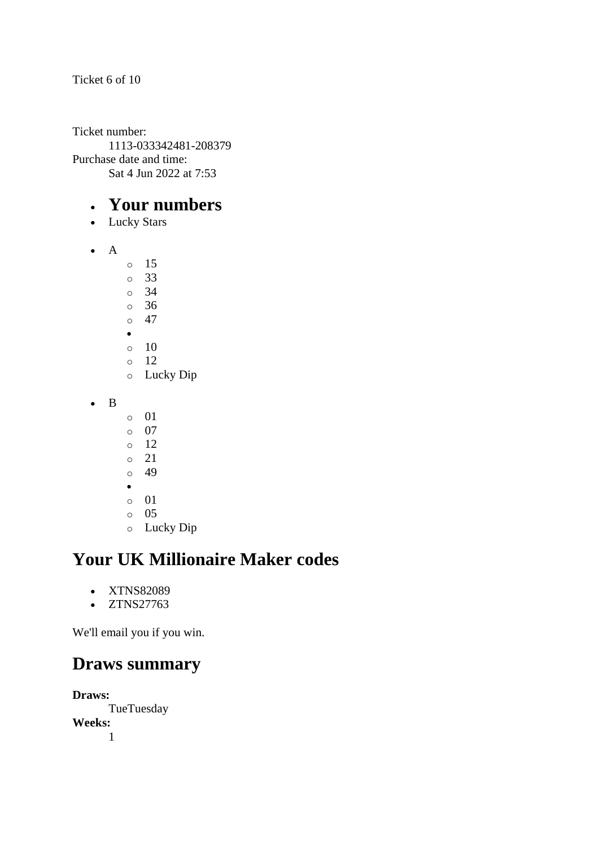#### Ticket 6 of 10

Ticket number: 1113-033342481-208379 Purchase date and time: Sat 4 Jun 2022 at 7:53

#### • **Your numbers**

- Lucky Stars
- A
	- o 15 o 33 o 34 o 36  $\circ$  47 •  $\circ$  10
	- o 12
	- o Lucky Dip
- B
- o 01
- o 07
- o 12
- o 21
- o 49
- •
- o 01
- o 05
- o Lucky Dip

# **Your UK Millionaire Maker codes**

- XTNS82089
- ZTNS27763

We'll email you if you win.

#### **Draws summary**

**Draws: TueTuesday Weeks:** 1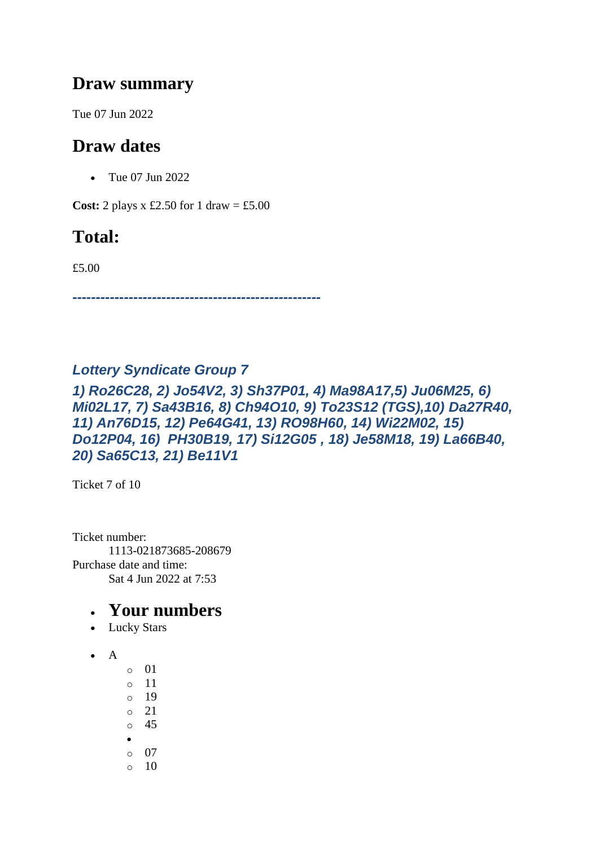#### **Draw summary**

Tue 07 Jun 2022

### **Draw dates**

• Tue 07 Jun 2022

**Cost:** 2 plays x £2.50 for 1 draw = £5.00

## **Total:**

£5.00

*-----------------------------------------------------*

#### *Lottery Syndicate Group 7*

*1) Ro26C28, 2) Jo54V2, 3) Sh37P01, 4) Ma98A17,5) Ju06M25, 6) Mi02L17, 7) Sa43B16, 8) Ch94O10, 9) To23S12 (TGS),10) Da27R40, 11) An76D15, 12) Pe64G41, 13) RO98H60, 14) Wi22M02, 15) Do12P04, 16) PH30B19, 17) Si12G05 , 18) Je58M18, 19) La66B40, 20) Sa65C13, 21) Be11V1*

Ticket 7 of 10

Ticket number: 1113-021873685-208679 Purchase date and time: Sat 4 Jun 2022 at 7:53

- Lucky Stars
- $\bullet$  A
	- o 01 o 11 o 19 o 21 o 45 • o 07  $\circ$  10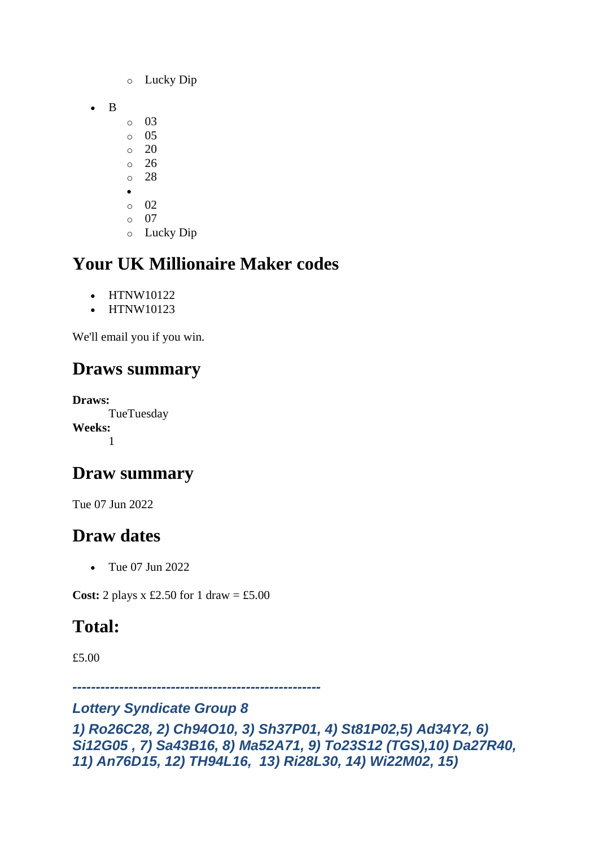- o Lucky Dip
- B
	- o 03
	- $\circ$  05
	- $\circ$  20 o 26
	- o 28
	- •
	- o 02
	- $\circ$  07
	- o Lucky Dip

- HTNW10122
- HTNW10123

We'll email you if you win.

### **Draws summary**

**Draws:** TueTuesday **Weeks:** 1

### **Draw summary**

Tue 07 Jun 2022

# **Draw dates**

• Tue 07 Jun 2022

**Cost:** 2 plays  $x \text{ £}2.50$  for 1 draw = £5.00

### **Total:**

£5.00

*-----------------------------------------------------*

#### *Lottery Syndicate Group 8*

```
1) Ro26C28, 2) Ch94O10, 3) Sh37P01, 4) St81P02,5) Ad34Y2, 6) 
Si12G05 , 7) Sa43B16, 8) Ma52A71, 9) To23S12 (TGS),10) Da27R40, 
11) An76D15, 12) TH94L16, 13) Ri28L30, 14) Wi22M02, 15)
```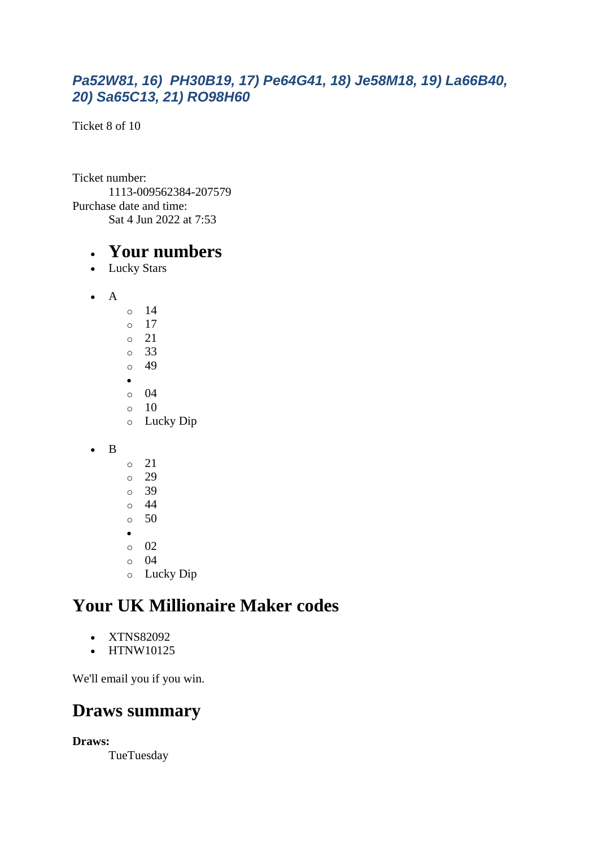#### *Pa52W81, 16) PH30B19, 17) Pe64G41, 18) Je58M18, 19) La66B40, 20) Sa65C13, 21) RO98H60*

Ticket 8 of 10

Ticket number: 1113-009562384-207579 Purchase date and time: Sat 4 Jun 2022 at 7:53

#### • **Your numbers**

- Lucky Stars
- A  $\circ$  14 o 17
	- o 21 o 33 o 49 • o 04 o 10 o Lucky Dip
- B
- o 21 o 29 o 39  $\circ$  44  $\circ$  50
- o 02
- o 04
- o Lucky Dip

### **Your UK Millionaire Maker codes**

- XTNS82092
- HTNW10125

We'll email you if you win.

### **Draws summary**

**Draws:**

**TueTuesday**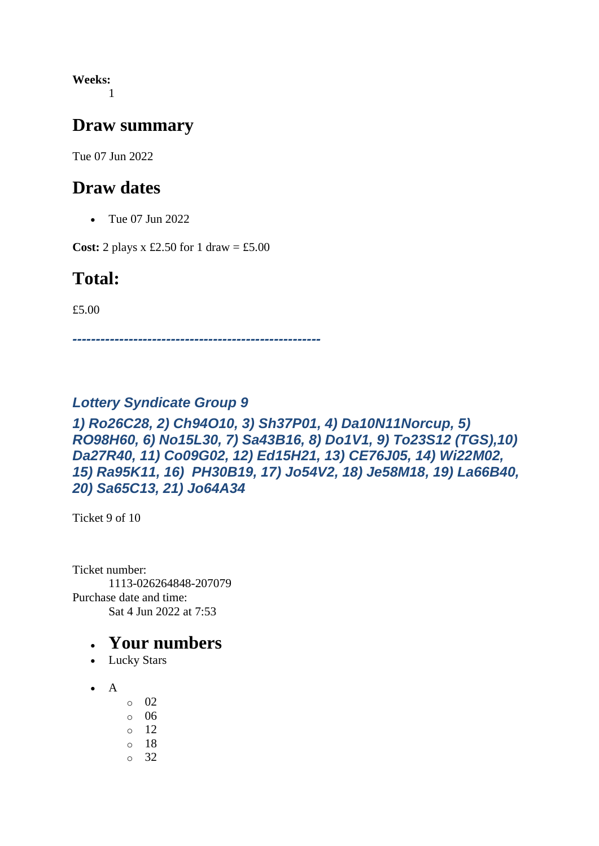**Weeks:** 1

#### **Draw summary**

Tue 07 Jun 2022

#### **Draw dates**

• Tue 07 Jun 2022

**Cost:** 2 plays x £2.50 for 1 draw = £5.00

#### **Total:**

£5.00

*-----------------------------------------------------*

#### *Lottery Syndicate Group 9*

#### *1) Ro26C28, 2) Ch94O10, 3) Sh37P01, 4) Da10N11Norcup, 5) RO98H60, 6) No15L30, 7) Sa43B16, 8) Do1V1, 9) To23S12 (TGS),10) Da27R40, 11) Co09G02, 12) Ed15H21, 13) CE76J05, 14) Wi22M02, 15) Ra95K11, 16) PH30B19, 17) Jo54V2, 18) Je58M18, 19) La66B40, 20) Sa65C13, 21) Jo64A34*

Ticket 9 of 10

Ticket number: 1113-026264848-207079 Purchase date and time: Sat 4 Jun 2022 at 7:53

- Lucky Stars
- A
	- $\circ$  02
	- o 06
	- o 12
	- o 18
	- o 32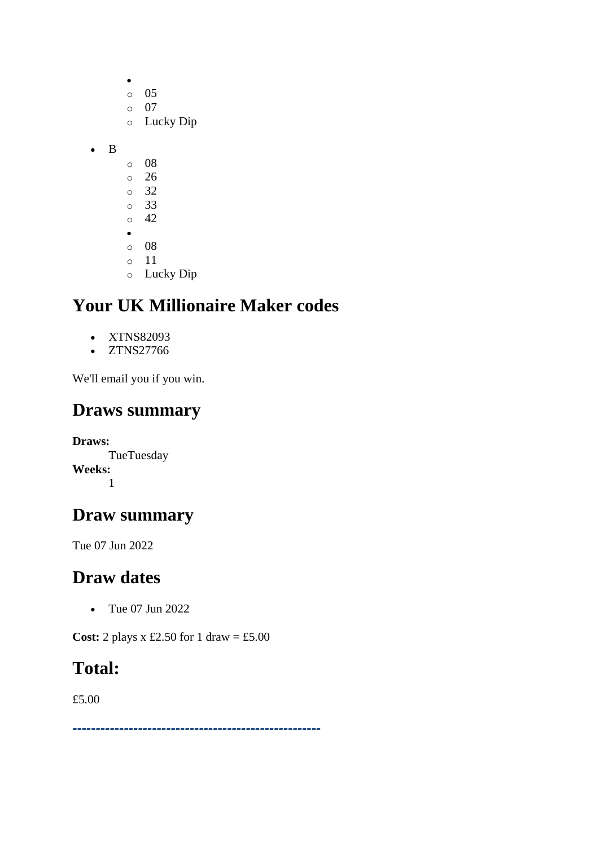|   | O         | 05        |
|---|-----------|-----------|
|   | $\circ$   | 07        |
|   | O         | Lucky Dip |
|   |           |           |
| B |           |           |
|   | O         | 08        |
|   | $\circ$   | 26        |
|   | $\circ$   | 32        |
|   | $\circ$   | 33        |
|   | $\circ$   | 42        |
|   | $\bullet$ |           |
|   | $\circ$   | 08        |
|   | ∩         | 11        |

 $\bullet$ 

o Lucky Dip

## **Your UK Millionaire Maker codes**

- XTNS82093
- ZTNS27766

We'll email you if you win.

#### **Draws summary**

**Draws:** TueTuesday **Weeks:** 1

#### **Draw summary**

Tue 07 Jun 2022

#### **Draw dates**

• Tue 07 Jun 2022

**Cost:** 2 plays x £2.50 for 1 draw = £5.00

#### **Total:**

£5.00

*-----------------------------------------------------*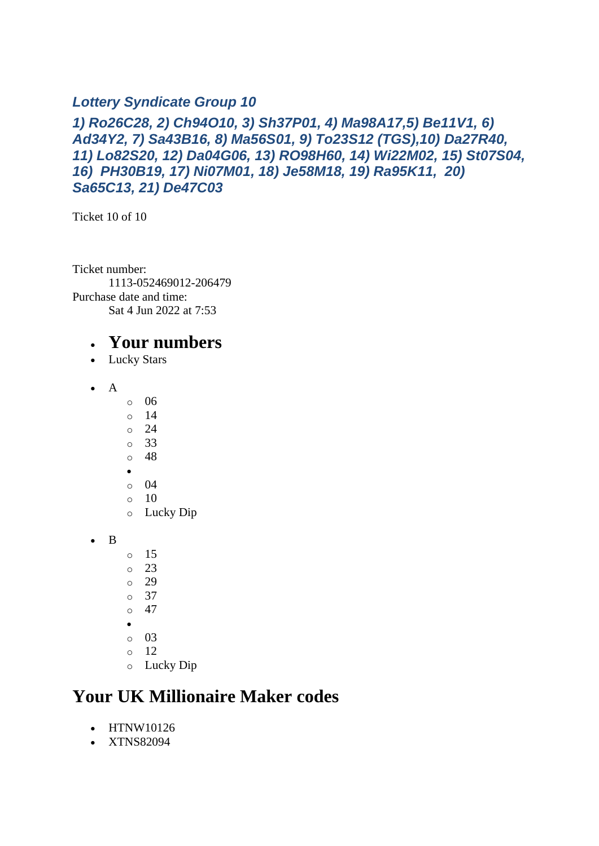#### *Lottery Syndicate Group 10*

#### *1) Ro26C28, 2) Ch94O10, 3) Sh37P01, 4) Ma98A17,5) Be11V1, 6) Ad34Y2, 7) Sa43B16, 8) Ma56S01, 9) To23S12 (TGS),10) Da27R40, 11) Lo82S20, 12) Da04G06, 13) RO98H60, 14) Wi22M02, 15) St07S04, 16) PH30B19, 17) Ni07M01, 18) Je58M18, 19) Ra95K11, 20) Sa65C13, 21) De47C03*

Ticket 10 of 10

Ticket number: 1113-052469012-206479 Purchase date and time: Sat 4 Jun 2022 at 7:53

#### • **Your numbers**

- Lucky Stars
- A
- o 06
- o 14
- o 24
- o 33
- o 48
- •
- o 04  $\circ$  10
- o Lucky Dip
- B
	- o 15
	- o 23
	- o 29
	- o 37
	- $\circ$  47
	- •
	- o 03
	- o 12
	- o Lucky Dip

### **Your UK Millionaire Maker codes**

- HTNW10126
- XTNS82094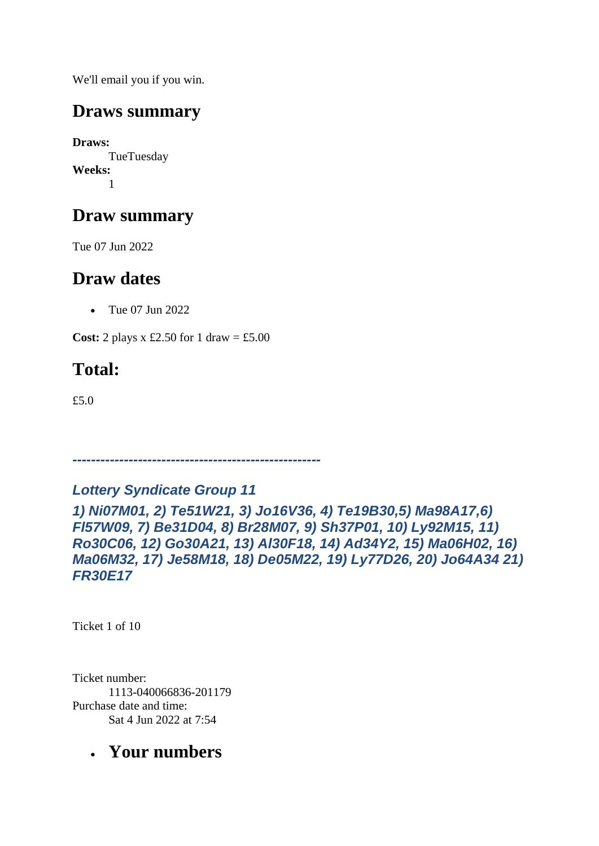We'll email you if you win.

### **Draws summary**

**Draws:** TueTuesday **Weeks:** 1

## **Draw summary**

Tue 07 Jun 2022

### **Draw dates**

• Tue 07 Jun 2022

**Cost:** 2 plays x £2.50 for 1 draw = £5.00

# **Total:**

£5.0

*-----------------------------------------------------*

*Lottery Syndicate Group 11*

*1) Ni07M01, 2) Te51W21, 3) Jo16V36, 4) Te19B30,5) Ma98A17,6) Fl57W09, 7) Be31D04, 8) Br28M07, 9) Sh37P01, 10) Ly92M15, 11) Ro30C06, 12) Go30A21, 13) Al30F18, 14) Ad34Y2, 15) Ma06H02, 16) Ma06M32, 17) Je58M18, 18) De05M22, 19) Ly77D26, 20) Jo64A34 21) FR30E17*

Ticket 1 of 10

Ticket number: 1113-040066836-201179 Purchase date and time: Sat 4 Jun 2022 at 7:54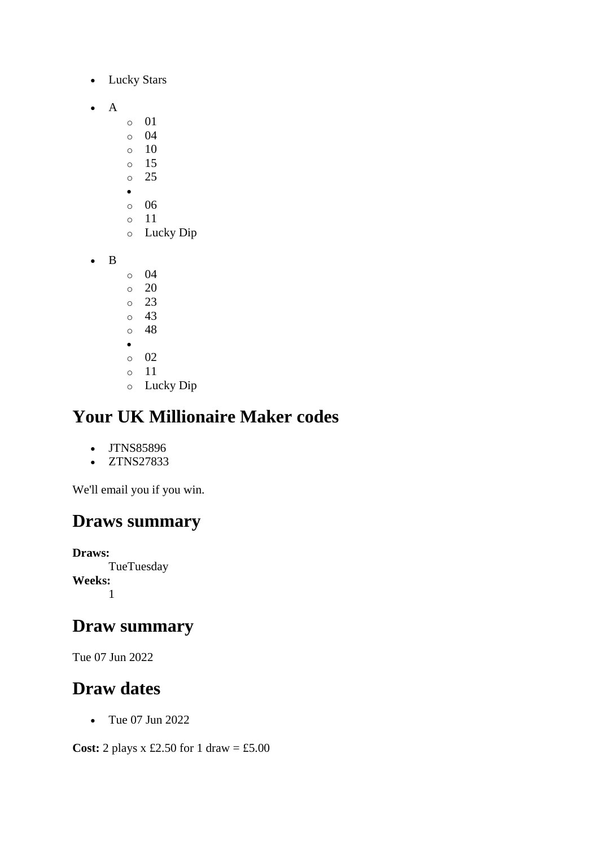- Lucky Stars
- A
- o 01
- o 04
- $\circ$  10
- o 15 o 25
- •
- o 06
- o 11
- o Lucky Dip
- B
- o 04
- o 20 o 23
- o 43
- o 48
- •
- o 02
- o 11
- o Lucky Dip

- JTNS85896
- ZTNS27833

We'll email you if you win.

### **Draws summary**

**Draws: TueTuesday Weeks:** 1

### **Draw summary**

Tue 07 Jun 2022

### **Draw dates**

• Tue 07 Jun 2022

**Cost:** 2 plays x £2.50 for 1 draw = £5.00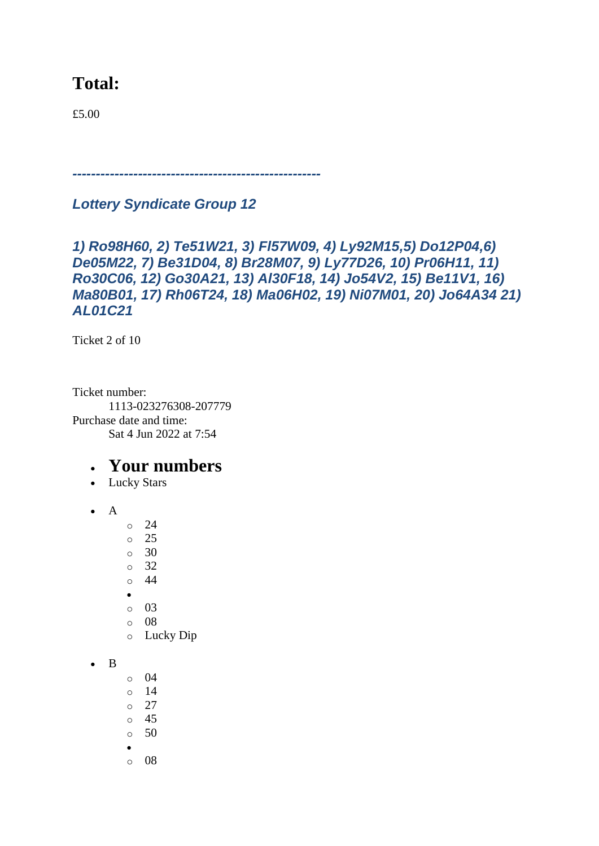### **Total:**

£5.00

*-----------------------------------------------------*

*Lottery Syndicate Group 12*

```
1) Ro98H60, 2) Te51W21, 3) Fl57W09, 4) Ly92M15,5) Do12P04,6) 
De05M22, 7) Be31D04, 8) Br28M07, 9) Ly77D26, 10) Pr06H11, 11) 
Ro30C06, 12) Go30A21, 13) Al30F18, 14) Jo54V2, 15) Be11V1, 16) 
Ma80B01, 17) Rh06T24, 18) Ma06H02, 19) Ni07M01, 20) Jo64A34 21) 
AL01C21
```
Ticket 2 of 10

Ticket number: 1113-023276308-207779 Purchase date and time: Sat 4 Jun 2022 at 7:54

- Lucky Stars
- A
- o 24
- o 25
- $\circ$  30
- o 32
- o 44
- •
- o 03
- o 08
- o Lucky Dip
- B
- o 04
- o 14
- o 27
- o 45
- $\circ$  50
- •
- o 08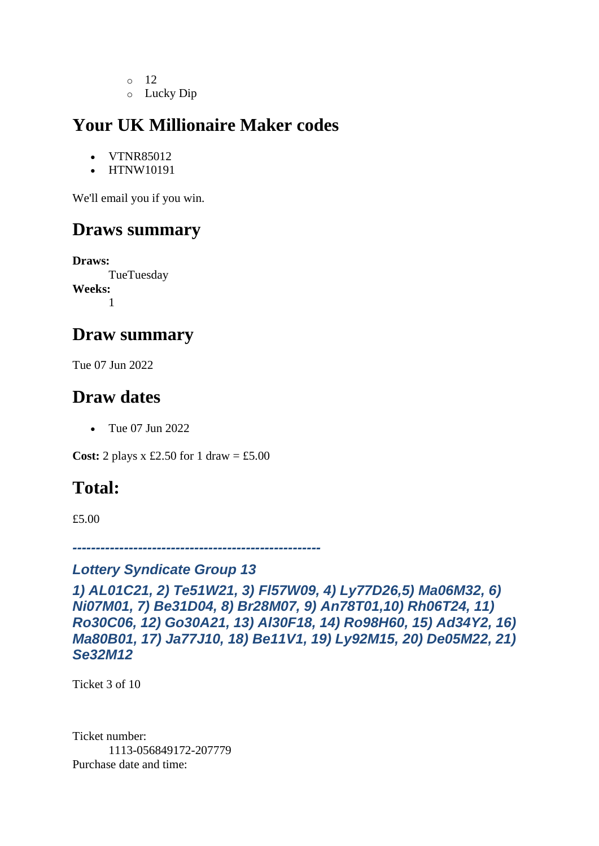- $\circ$  12
- o Lucky Dip

- VTNR85012
- HTNW10191

We'll email you if you win.

### **Draws summary**

**Draws:** TueTuesday **Weeks:** 1

#### **Draw summary**

Tue 07 Jun 2022

### **Draw dates**

• Tue 07 Jun 2022

**Cost:** 2 plays x £2.50 for 1 draw = £5.00

### **Total:**

£5.00

*-----------------------------------------------------*

#### *Lottery Syndicate Group 13*

*1) AL01C21, 2) Te51W21, 3) Fl57W09, 4) Ly77D26,5) Ma06M32, 6) Ni07M01, 7) Be31D04, 8) Br28M07, 9) An78T01,10) Rh06T24, 11) Ro30C06, 12) Go30A21, 13) Al30F18, 14) Ro98H60, 15) Ad34Y2, 16) Ma80B01, 17) Ja77J10, 18) Be11V1, 19) Ly92M15, 20) De05M22, 21) Se32M12*

Ticket 3 of 10

Ticket number: 1113-056849172-207779 Purchase date and time: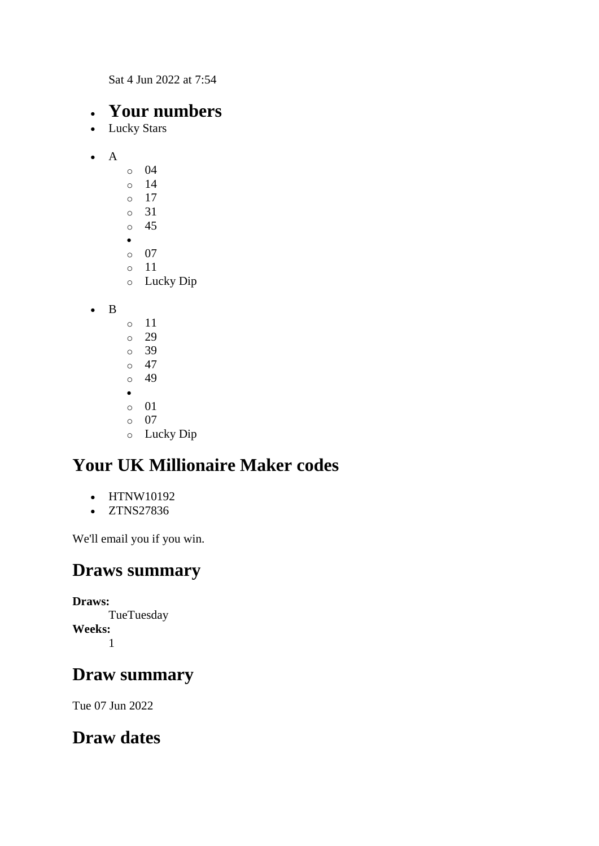Sat 4 Jun 2022 at 7:54

### • **Your numbers**

- Lucky Stars
- $\bullet$  A o 04 o 14 o 17 o 31 o 45 • o 07 o 11 o Lucky Dip

• B

o 11 o 29 o 39  $\circ$  47 o 49 • o 01 o 07 o Lucky Dip

### **Your UK Millionaire Maker codes**

- HTNW10192
- ZTNS27836

We'll email you if you win.

### **Draws summary**

**Draws: TueTuesday Weeks:** 1

### **Draw summary**

Tue 07 Jun 2022

### **Draw dates**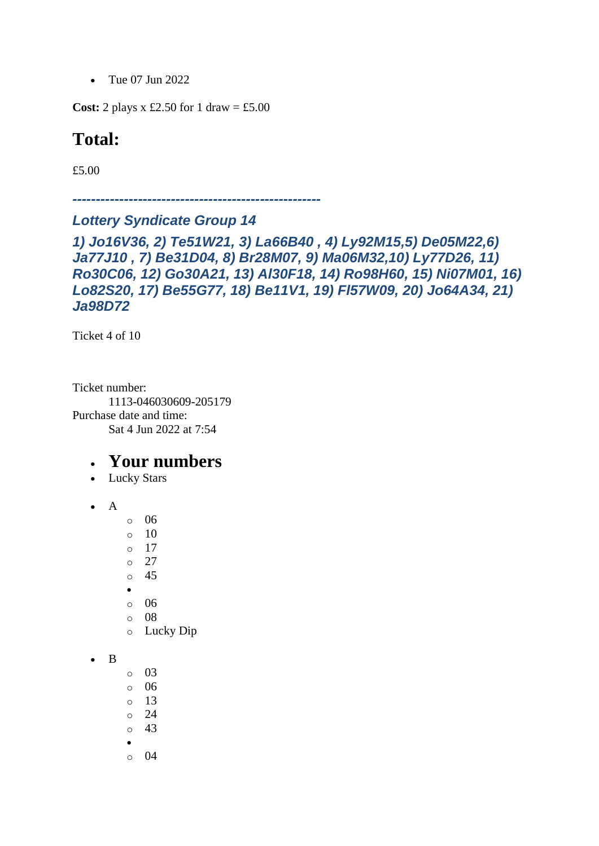• Tue 07 Jun 2022

**Cost:** 2 plays x £2.50 for 1 draw = £5.00

#### **Total:**

£5.00

*-----------------------------------------------------*

#### *Lottery Syndicate Group 14*

```
1) Jo16V36, 2) Te51W21, 3) La66B40 , 4) Ly92M15,5) De05M22,6) 
Ja77J10 , 7) Be31D04, 8) Br28M07, 9) Ma06M32,10) Ly77D26, 11) 
Ro30C06, 12) Go30A21, 13) Al30F18, 14) Ro98H60, 15) Ni07M01, 16) 
Lo82S20, 17) Be55G77, 18) Be11V1, 19) Fl57W09, 20) Jo64A34, 21) 
Ja98D72
```
Ticket 4 of 10

Ticket number: 1113-046030609-205179 Purchase date and time: Sat 4 Jun 2022 at 7:54

- Lucky Stars
- A
- o 06
- o 10
- $\circ$  17
- o 27
- o 45
- •
- o 06
- o 08 o Lucky Dip
- B
- o 03
- o 06
- o 13
- o 24
- o 43
- •
- $\circ$  04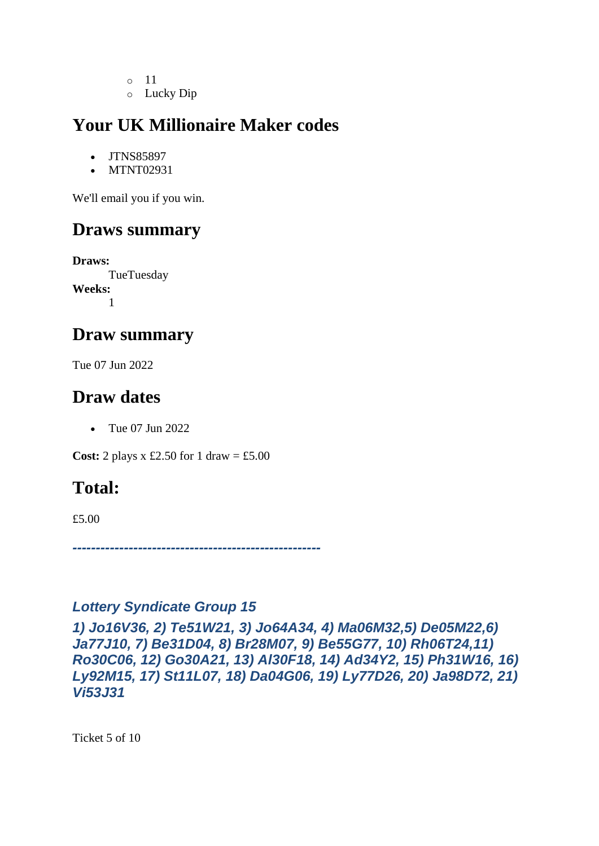- o 11
- o Lucky Dip

- JTNS85897
- MTNT02931

We'll email you if you win.

### **Draws summary**

**Draws: TueTuesday Weeks:** 1

#### **Draw summary**

Tue 07 Jun 2022

### **Draw dates**

• Tue 07 Jun 2022

**Cost:** 2 plays x £2.50 for 1 draw = £5.00

### **Total:**

£5.00

*-----------------------------------------------------*

#### *Lottery Syndicate Group 15*

*1) Jo16V36, 2) Te51W21, 3) Jo64A34, 4) Ma06M32,5) De05M22,6) Ja77J10, 7) Be31D04, 8) Br28M07, 9) Be55G77, 10) Rh06T24,11) Ro30C06, 12) Go30A21, 13) Al30F18, 14) Ad34Y2, 15) Ph31W16, 16) Ly92M15, 17) St11L07, 18) Da04G06, 19) Ly77D26, 20) Ja98D72, 21) Vi53J31*

Ticket 5 of 10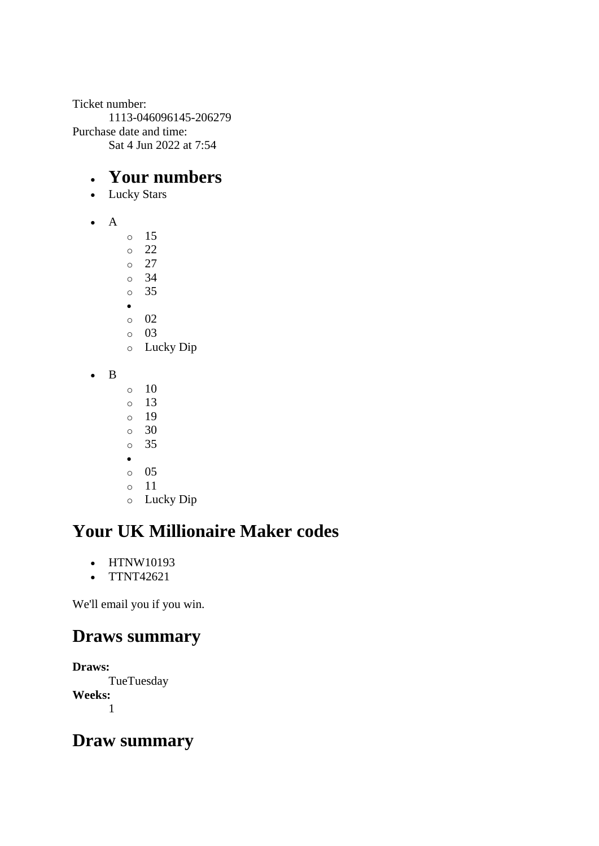Ticket number: 1113-046096145-206279 Purchase date and time: Sat 4 Jun 2022 at 7:54

#### • **Your numbers**

- Lucky Stars
- A
- o 15 o 22 o 27 o 34 o 35 • o 02 o 03 o Lucky Dip • B  $\circ$  10  $\circ$  13
	- o 19
	- o 30
	- o 35
	- •
	- o 05
	- o 11
	- o Lucky Dip

# **Your UK Millionaire Maker codes**

- HTNW10193
- TTNT42621

We'll email you if you win.

### **Draws summary**

**Draws: TueTuesday Weeks:** 1

### **Draw summary**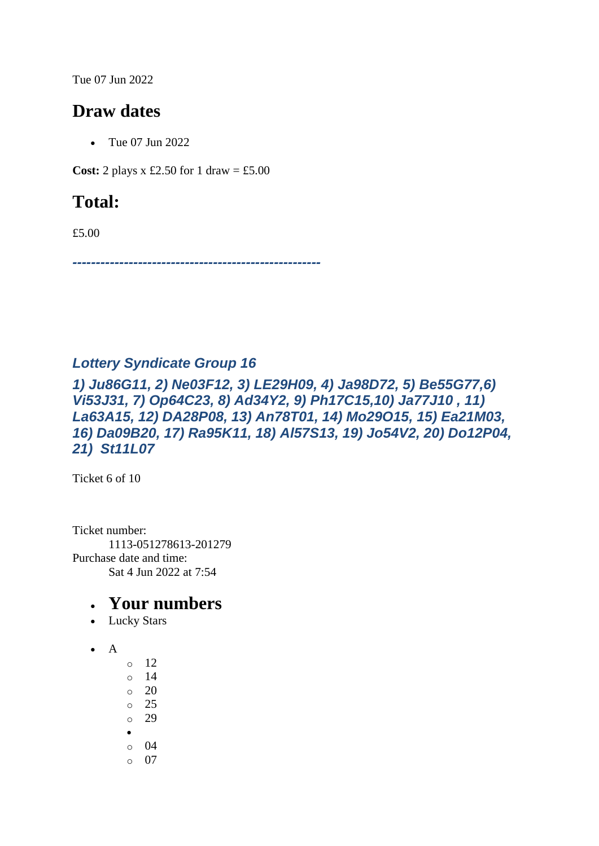Tue 07 Jun 2022

### **Draw dates**

• Tue 07 Jun 2022

**Cost:** 2 plays x £2.50 for 1 draw = £5.00

# **Total:**

£5.00

*-----------------------------------------------------*

#### *Lottery Syndicate Group 16*

*1) Ju86G11, 2) Ne03F12, 3) LE29H09, 4) Ja98D72, 5) Be55G77,6) Vi53J31, 7) Op64C23, 8) Ad34Y2, 9) Ph17C15,10) Ja77J10 , 11) La63A15, 12) DA28P08, 13) An78T01, 14) Mo29O15, 15) Ea21M03, 16) Da09B20, 17) Ra95K11, 18) Al57S13, 19) Jo54V2, 20) Do12P04, 21) St11L07*

Ticket 6 of 10

Ticket number: 1113-051278613-201279 Purchase date and time: Sat 4 Jun 2022 at 7:54

- Lucky Stars
- $\bullet$  A
- o 12 o 14  $\circ$  20 o 25 o 29
- •
- o 04
- o 07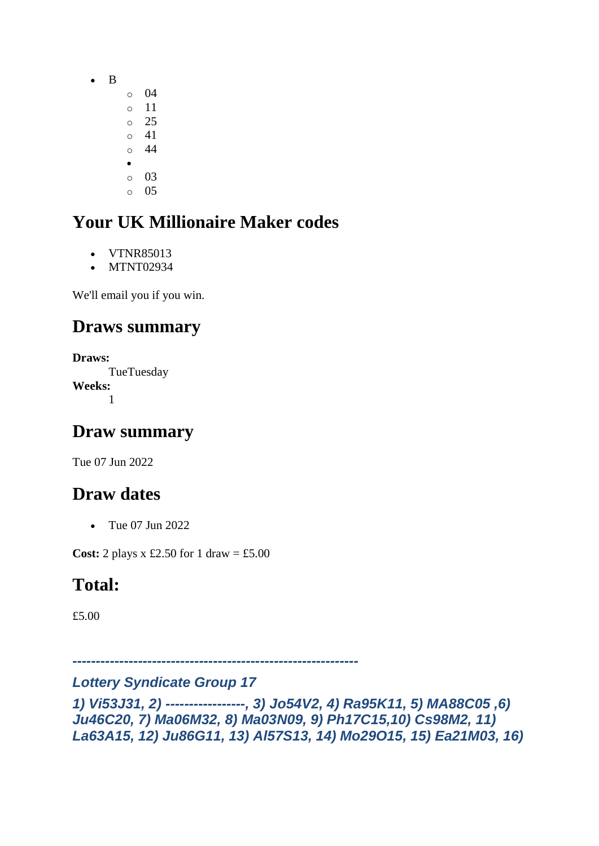- B
- o 04 o 11 o 25
- o 41
- o 44
- o 03
- o 05

- VTNR85013
- MTNT02934

We'll email you if you win.

# **Draws summary**

**Draws:** TueTuesday **Weeks:** 1

# **Draw summary**

Tue 07 Jun 2022

# **Draw dates**

• Tue 07 Jun 2022

**Cost:** 2 plays  $x \text{ £}2.50$  for 1 draw = £5.00

# **Total:**

£5.00

*-------------------------------------------------------------*

#### *Lottery Syndicate Group 17*

*1) Vi53J31, 2) -----------------, 3) Jo54V2, 4) Ra95K11, 5) MA88C05 ,6) Ju46C20, 7) Ma06M32, 8) Ma03N09, 9) Ph17C15,10) Cs98M2, 11) La63A15, 12) Ju86G11, 13) Al57S13, 14) Mo29O15, 15) Ea21M03, 16)*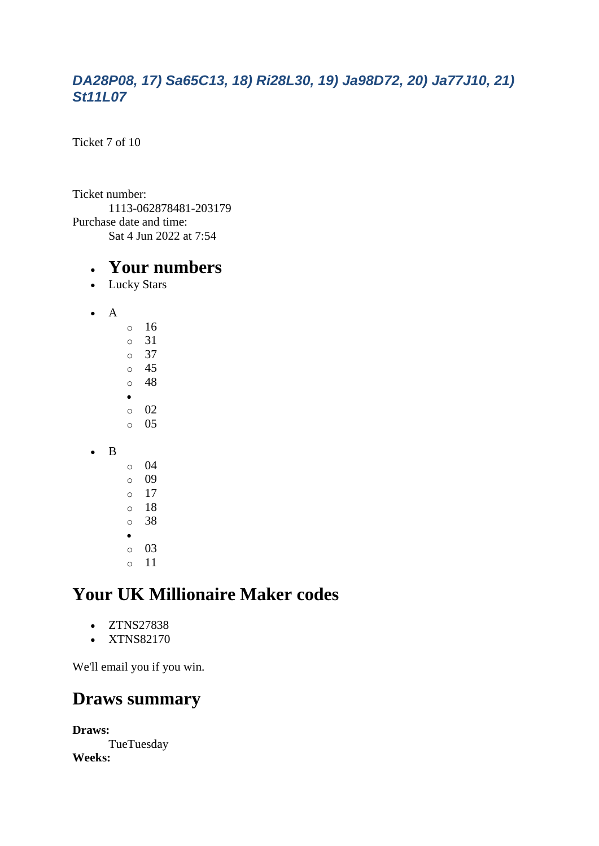#### *DA28P08, 17) Sa65C13, 18) Ri28L30, 19) Ja98D72, 20) Ja77J10, 21) St11L07*

Ticket 7 of 10

Ticket number: 1113-062878481-203179 Purchase date and time: Sat 4 Jun 2022 at 7:54

#### • **Your numbers**

- Lucky Stars
- A o 16 o 31 o 37 o 45 o 48 • o 02 o 05 • B o 04 o 09  $\circ$  17 o 18 o 38 •
	- o 03 o 11

# **Your UK Millionaire Maker codes**

- ZTNS27838
- XTNS82170

We'll email you if you win.

#### **Draws summary**

**Draws: TueTuesday Weeks:**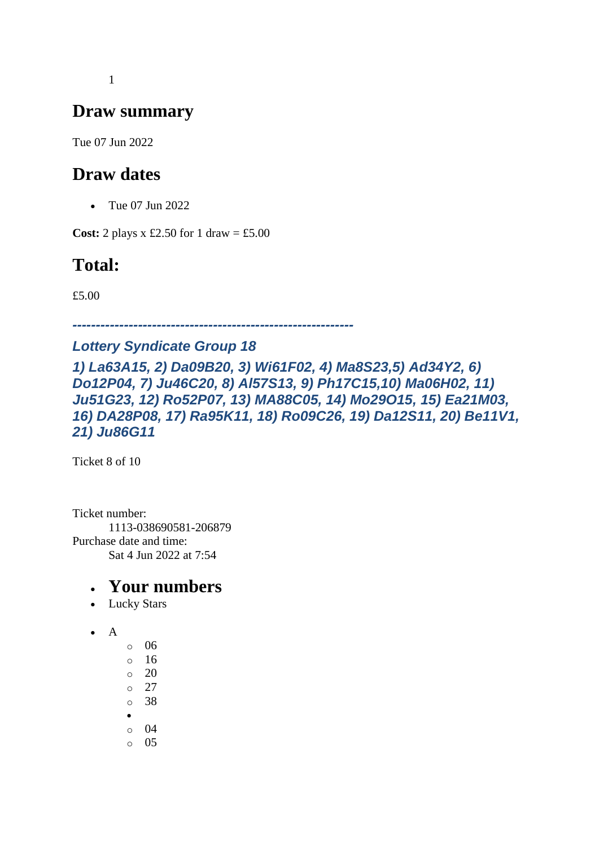1

### **Draw summary**

Tue 07 Jun 2022

#### **Draw dates**

• Tue 07 Jun 2022

**Cost:** 2 plays x £2.50 for 1 draw = £5.00

# **Total:**

£5.00

*------------------------------------------------------------*

#### *Lottery Syndicate Group 18*

*1) La63A15, 2) Da09B20, 3) Wi61F02, 4) Ma8S23,5) Ad34Y2, 6) Do12P04, 7) Ju46C20, 8) Al57S13, 9) Ph17C15,10) Ma06H02, 11) Ju51G23, 12) Ro52P07, 13) MA88C05, 14) Mo29O15, 15) Ea21M03, 16) DA28P08, 17) Ra95K11, 18) Ro09C26, 19) Da12S11, 20) Be11V1, 21) Ju86G11*

Ticket 8 of 10

Ticket number: 1113-038690581-206879 Purchase date and time: Sat 4 Jun 2022 at 7:54

- Lucky Stars
- A
- $\circ$  06
- $\circ$  16  $\circ$  20
- $\circ$  27
- o 38
- •
- o 04
- o 05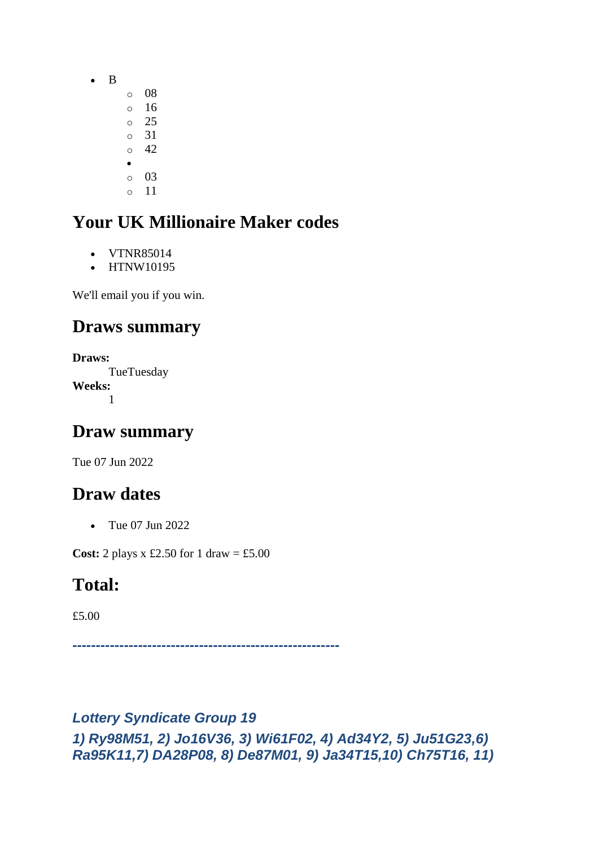- B
- o 08 o 16 o 25 o 31  $\circ$  42 •
- o 03
- o 11

- VTNR85014
- HTNW10195

We'll email you if you win.

## **Draws summary**

**Draws: TueTuesday Weeks:** 1

### **Draw summary**

Tue 07 Jun 2022

# **Draw dates**

• Tue 07 Jun 2022

**Cost:** 2 plays x £2.50 for 1 draw = £5.00

### **Total:**

£5.00

*---------------------------------------------------------*

#### *Lottery Syndicate Group 19 1) Ry98M51, 2) Jo16V36, 3) Wi61F02, 4) Ad34Y2, 5) Ju51G23,6) Ra95K11,7) DA28P08, 8) De87M01, 9) Ja34T15,10) Ch75T16, 11)*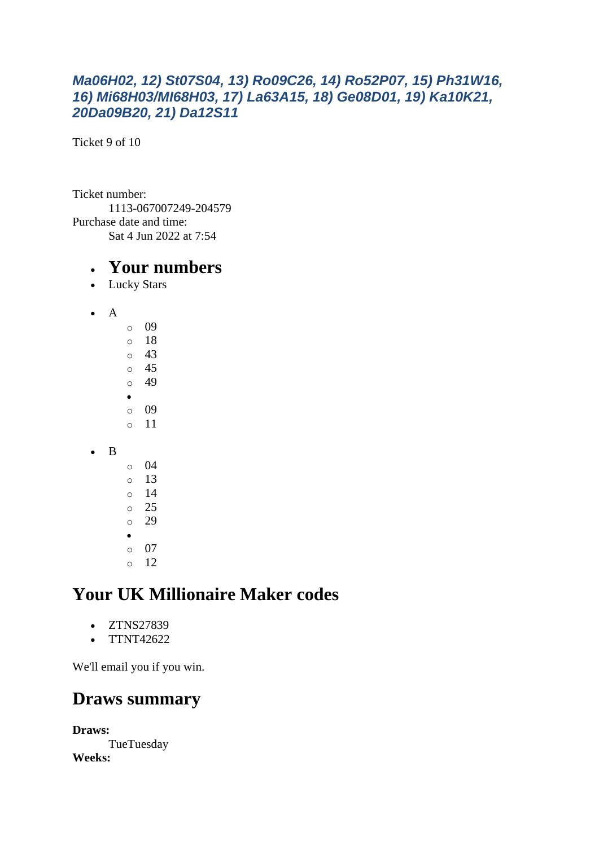#### *Ma06H02, 12) St07S04, 13) Ro09C26, 14) Ro52P07, 15) Ph31W16, 16) Mi68H03/MI68H03, 17) La63A15, 18) Ge08D01, 19) Ka10K21, 20Da09B20, 21) Da12S11*

Ticket 9 of 10

Ticket number: 1113-067007249-204579 Purchase date and time: Sat 4 Jun 2022 at 7:54

#### • **Your numbers**

- Lucky Stars
- A o 09 o 18 o 43 o 45 o 49 • o 09 o 11 • B o 04  $\circ$  13 o 14 o 25 o 29 • o 07  $\circ$  12

# **Your UK Millionaire Maker codes**

- ZTNS27839
- TTNT42622

We'll email you if you win.

#### **Draws summary**

**Draws: TueTuesday Weeks:**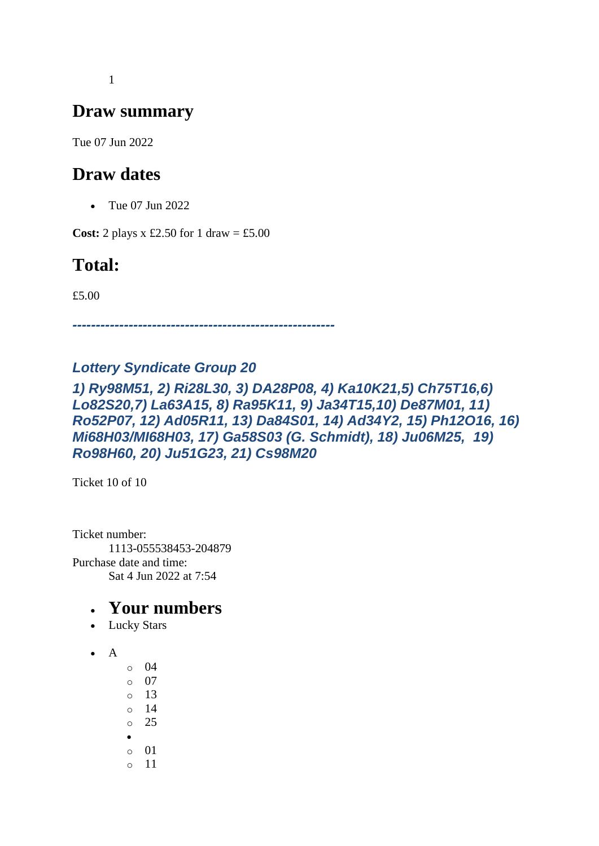1

### **Draw summary**

Tue 07 Jun 2022

#### **Draw dates**

• Tue 07 Jun 2022

**Cost:** 2 plays x £2.50 for 1 draw = £5.00

# **Total:**

£5.00

*--------------------------------------------------------*

#### *Lottery Syndicate Group 20*

#### *1) Ry98M51, 2) Ri28L30, 3) DA28P08, 4) Ka10K21,5) Ch75T16,6) Lo82S20,7) La63A15, 8) Ra95K11, 9) Ja34T15,10) De87M01, 11) Ro52P07, 12) Ad05R11, 13) Da84S01, 14) Ad34Y2, 15) Ph12O16, 16) Mi68H03/MI68H03, 17) Ga58S03 (G. Schmidt), 18) Ju06M25, 19) Ro98H60, 20) Ju51G23, 21) Cs98M20*

Ticket 10 of 10

Ticket number: 1113-055538453-204879 Purchase date and time: Sat 4 Jun 2022 at 7:54

- Lucky Stars
- A
- o 04 o 07 o 13
- o 14
- o 25
- •
- o 01 o 11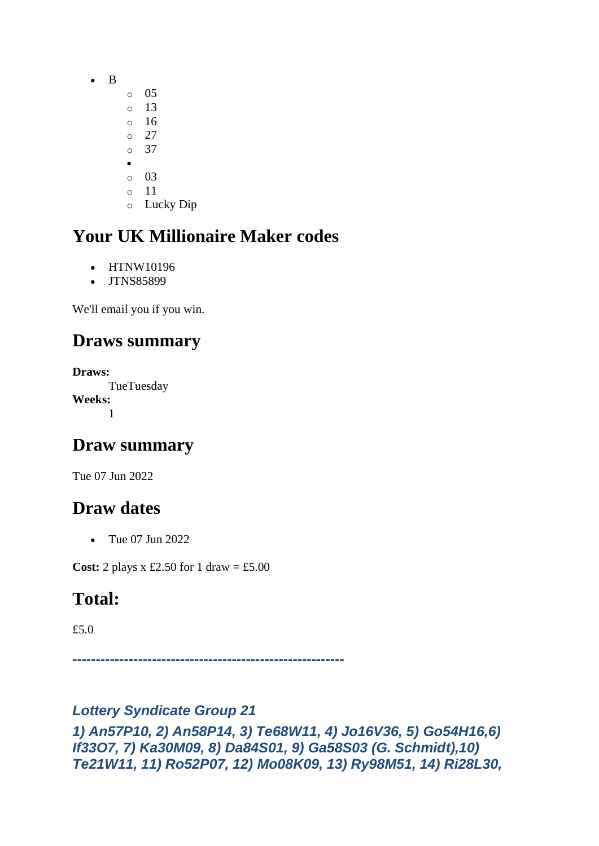- B
	- o 05
		- o 13  $\circ$  16
		- $\circ$  27
		- o 37
		- •
		- o 03
		- o 11
		- o Lucky Dip

- HTNW10196
- JTNS85899

We'll email you if you win.

# **Draws summary**

```
Draws:
     TueTuesday
Weeks:
      1
```
### **Draw summary**

Tue 07 Jun 2022

# **Draw dates**

• Tue 07 Jun 2022

**Cost:** 2 plays x £2.50 for 1 draw = £5.00

# **Total:**

£5.0

*----------------------------------------------------------*

### *Lottery Syndicate Group 21*

*1) An57P10, 2) An58P14, 3) Te68W11, 4) Jo16V36, 5) Go54H16,6) If33O7, 7) Ka30M09, 8) Da84S01, 9) Ga58S03 (G. Schmidt),10) Te21W11, 11) Ro52P07, 12) Mo08K09, 13) Ry98M51, 14) Ri28L30,*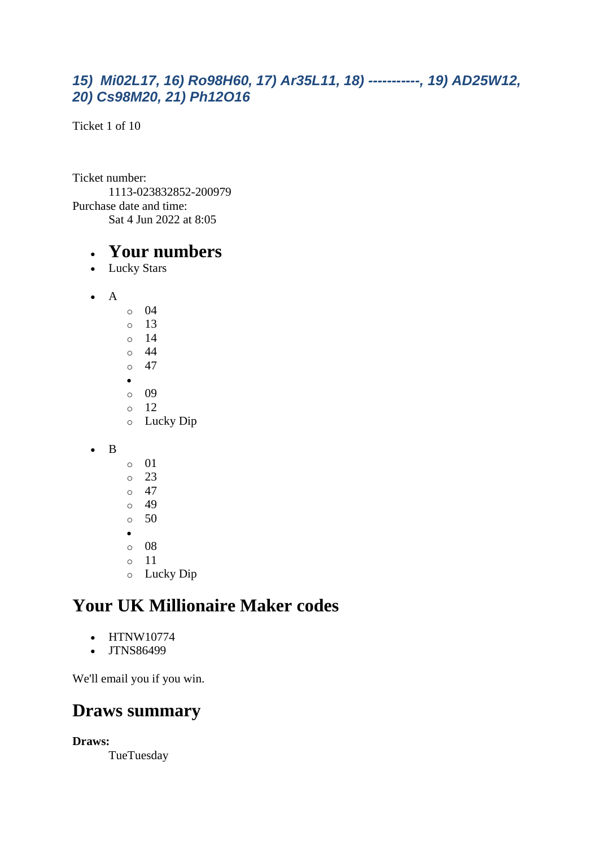#### *15) Mi02L17, 16) Ro98H60, 17) Ar35L11, 18) -----------, 19) AD25W12, 20) Cs98M20, 21) Ph12O16*

Ticket 1 of 10

Ticket number: 1113-023832852-200979 Purchase date and time: Sat 4 Jun 2022 at 8:05

#### • **Your numbers**

- Lucky Stars
- A
	- $\circ$  04 o 13 o 14 o 44  $\circ$  47 • o 09 o 12 o Lucky Dip
- B
- o 01 o 23  $\circ$  47  $\circ$  49  $\circ$  50 • o 08
- o 11
- o Lucky Dip

### **Your UK Millionaire Maker codes**

- HTNW10774
- JTNS86499

We'll email you if you win.

### **Draws summary**

**Draws:**

**TueTuesday**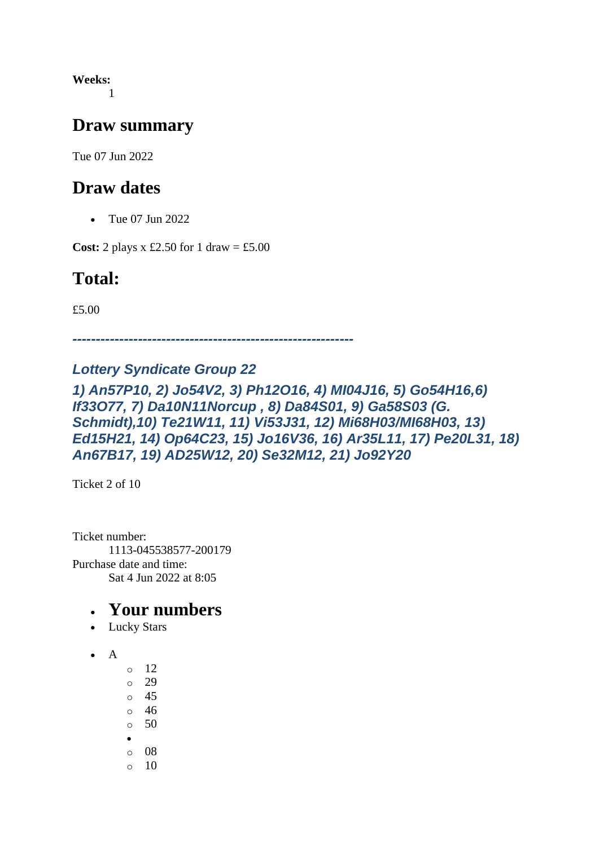**Weeks:** 1

#### **Draw summary**

Tue 07 Jun 2022

#### **Draw dates**

• Tue 07 Jun 2022

**Cost:** 2 plays x £2.50 for 1 draw = £5.00

### **Total:**

£5.00

*------------------------------------------------------------*

#### *Lottery Syndicate Group 22*

#### *1) An57P10, 2) Jo54V2, 3) Ph12O16, 4) MI04J16, 5) Go54H16,6) If33O77, 7) Da10N11Norcup , 8) Da84S01, 9) Ga58S03 (G. Schmidt),10) Te21W11, 11) Vi53J31, 12) Mi68H03/MI68H03, 13) Ed15H21, 14) Op64C23, 15) Jo16V36, 16) Ar35L11, 17) Pe20L31, 18) An67B17, 19) AD25W12, 20) Se32M12, 21) Jo92Y20*

Ticket 2 of 10

Ticket number: 1113-045538577-200179 Purchase date and time: Sat 4 Jun 2022 at 8:05

- Lucky Stars
- A
- o 12  $\circ$  29 o 45 o 46
- o 50
- •
- o 08
- $\circ$  10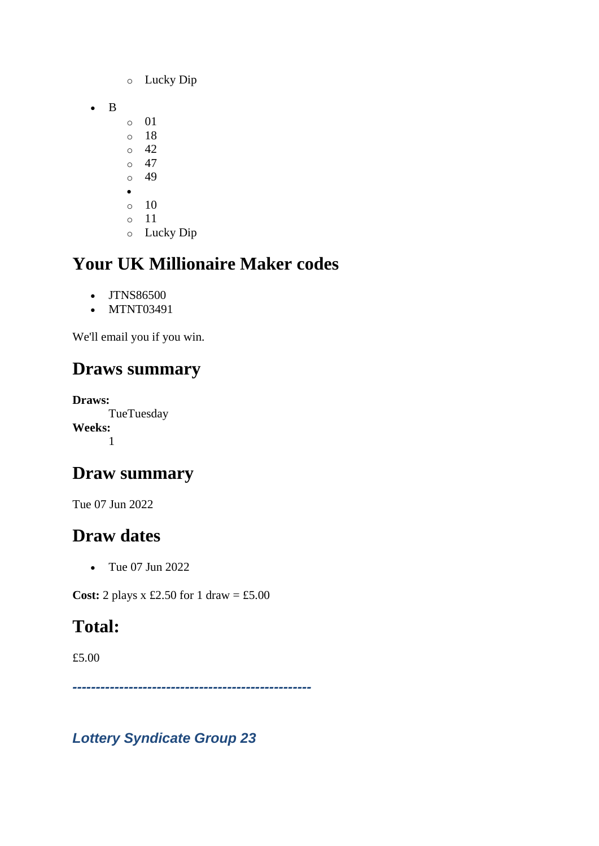- o Lucky Dip
- B
- o 01
- o 18  $\circ$  42
- $\circ$  47
- $\circ$  49
- •
- $\circ$  10
- o 11
- o Lucky Dip

- JTNS86500
- MTNT03491

We'll email you if you win.

# **Draws summary**

**Draws: TueTuesday Weeks:** 1

# **Draw summary**

Tue 07 Jun 2022

# **Draw dates**

• Tue 07 Jun 2022

**Cost:** 2 plays x £2.50 for 1 draw = £5.00

# **Total:**

£5.00

*---------------------------------------------------*

*Lottery Syndicate Group 23*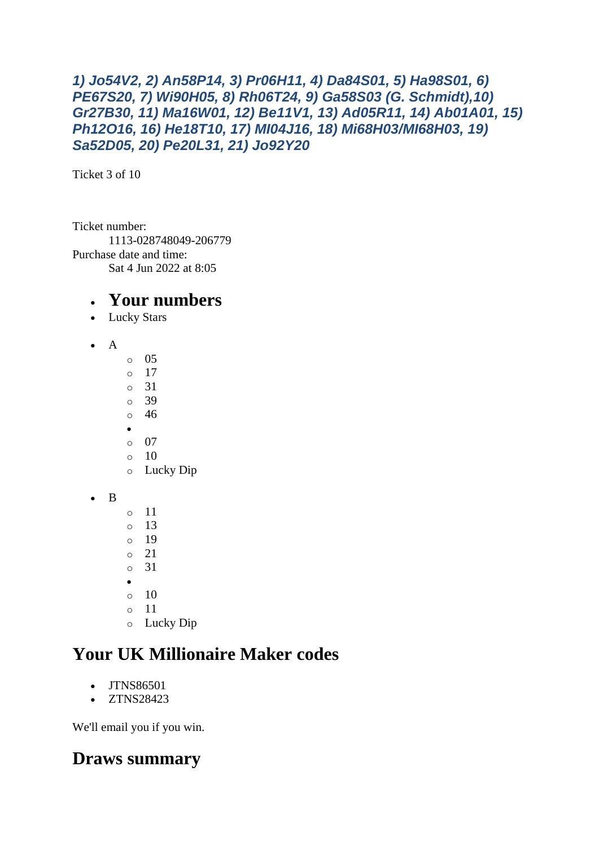```
1) Jo54V2, 2) An58P14, 3) Pr06H11, 4) Da84S01, 5) Ha98S01, 6) 
PE67S20, 7) Wi90H05, 8) Rh06T24, 9) Ga58S03 (G. Schmidt),10) 
Gr27B30, 11) Ma16W01, 12) Be11V1, 13) Ad05R11, 14) Ab01A01, 15) 
Ph12O16, 16) He18T10, 17) MI04J16, 18) Mi68H03/MI68H03, 19) 
Sa52D05, 20) Pe20L31, 21) Jo92Y20
```
Ticket 3 of 10

Ticket number: 1113-028748049-206779 Purchase date and time: Sat 4 Jun 2022 at 8:05

#### • **Your numbers**

- Lucky Stars
- A
- o 05 o 17 o 31 o 39 o 46 • o 07  $\circ$  10 o Lucky Dip • B o 11 o 13 o 19 o 21 o 31 •  $\circ$  10 o 11 o Lucky Dip

# **Your UK Millionaire Maker codes**

- JTNS86501
- ZTNS28423

We'll email you if you win.

# **Draws summary**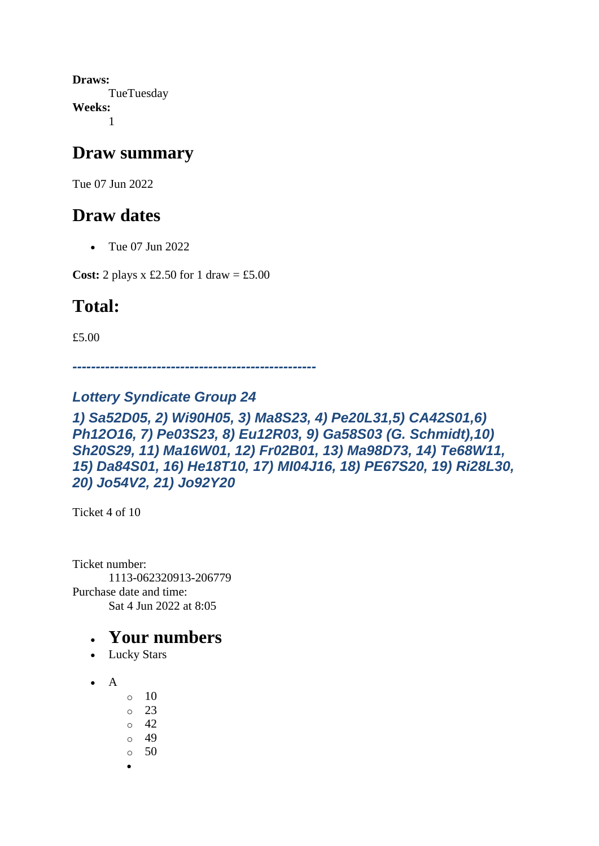**Draws: TueTuesday Weeks:** 1

#### **Draw summary**

Tue 07 Jun 2022

### **Draw dates**

• Tue 07 Jun 2022

**Cost:** 2 plays x £2.50 for 1 draw = £5.00

## **Total:**

£5.00

*----------------------------------------------------*

#### *Lottery Syndicate Group 24*

*1) Sa52D05, 2) Wi90H05, 3) Ma8S23, 4) Pe20L31,5) CA42S01,6) Ph12O16, 7) Pe03S23, 8) Eu12R03, 9) Ga58S03 (G. Schmidt),10) Sh20S29, 11) Ma16W01, 12) Fr02B01, 13) Ma98D73, 14) Te68W11, 15) Da84S01, 16) He18T10, 17) MI04J16, 18) PE67S20, 19) Ri28L30, 20) Jo54V2, 21) Jo92Y20*

Ticket 4 of 10

Ticket number: 1113-062320913-206779 Purchase date and time: Sat 4 Jun 2022 at 8:05

- Lucky Stars
- $\bullet$  A
- $\circ$  10
- $\circ$  23
- $\circ$  42
- o 49
- o 50
- •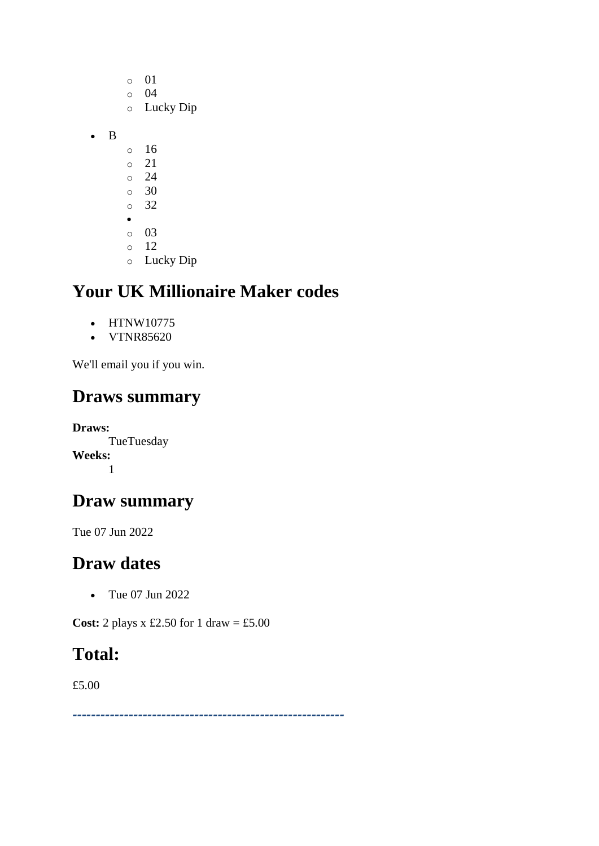|   | Ο       | 01        |
|---|---------|-----------|
|   | $\circ$ | 04        |
|   | $\circ$ | Lucky Dip |
| B |         |           |
|   | O       | 16        |
|   | $\circ$ | 21        |
|   | $\circ$ | 24        |
|   | $\circ$ | 30        |
|   | $\circ$ | 32        |
|   | ś       |           |
|   | $\circ$ | 03        |
|   | $\circ$ | 12        |
|   | $\circ$ | Lucky Dip |

- HTNW10775
- VTNR85620

We'll email you if you win.

### **Draws summary**

**Draws: TueTuesday Weeks:** 1

### **Draw summary**

Tue 07 Jun 2022

# **Draw dates**

• Tue 07 Jun 2022

**Cost:** 2 plays x £2.50 for 1 draw = £5.00

### **Total:**

£5.00

*----------------------------------------------------------*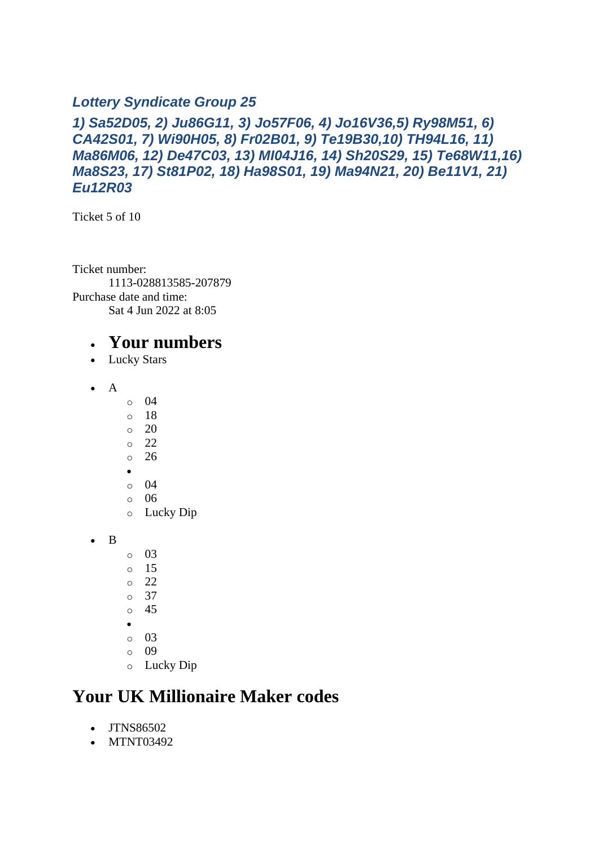#### *Lottery Syndicate Group 25*

#### *1) Sa52D05, 2) Ju86G11, 3) Jo57F06, 4) Jo16V36,5) Ry98M51, 6) CA42S01, 7) Wi90H05, 8) Fr02B01, 9) Te19B30,10) TH94L16, 11) Ma86M06, 12) De47C03, 13) MI04J16, 14) Sh20S29, 15) Te68W11,16) Ma8S23, 17) St81P02, 18) Ha98S01, 19) Ma94N21, 20) Be11V1, 21) Eu12R03*

Ticket 5 of 10

Ticket number: 1113-028813585-207879 Purchase date and time: Sat 4 Jun 2022 at 8:05

#### • **Your numbers**

- Lucky Stars
- A
- $\circ$  04
- o 18
- o 20
- o 22
- o 26
- •
- o 04
- o 06
- o Lucky Dip
- B
- o 03
- o 15
- o 22
- o 37
- o 45
- •
- o 03
- o 09
- o Lucky Dip

### **Your UK Millionaire Maker codes**

- JTNS86502
- MTNT03492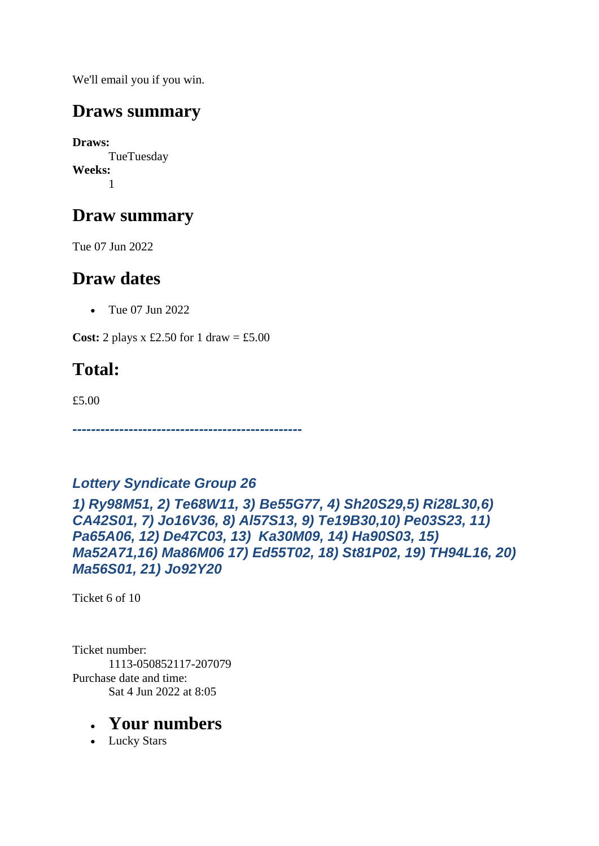We'll email you if you win.

### **Draws summary**

**Draws:** TueTuesday **Weeks:** 1

## **Draw summary**

Tue 07 Jun 2022

### **Draw dates**

• Tue 07 Jun 2022

**Cost:** 2 plays x £2.50 for 1 draw = £5.00

# **Total:**

£5.00

*-------------------------------------------------*

#### *Lottery Syndicate Group 26*

*1) Ry98M51, 2) Te68W11, 3) Be55G77, 4) Sh20S29,5) Ri28L30,6) CA42S01, 7) Jo16V36, 8) Al57S13, 9) Te19B30,10) Pe03S23, 11) Pa65A06, 12) De47C03, 13) Ka30M09, 14) Ha90S03, 15) Ma52A71,16) Ma86M06 17) Ed55T02, 18) St81P02, 19) TH94L16, 20) Ma56S01, 21) Jo92Y20*

Ticket 6 of 10

Ticket number: 1113-050852117-207079 Purchase date and time: Sat 4 Jun 2022 at 8:05

#### • **Your numbers**

• Lucky Stars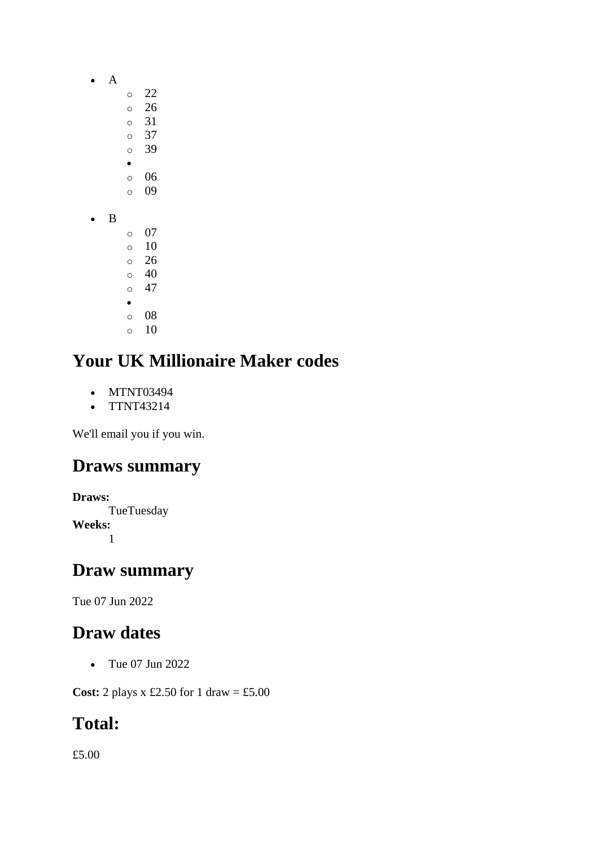- A
	- $\circ$  22
		- o 26
		- o 31 o 37
		- o 39
		- •
		- o 06 o 09
- B
- o 07  $\circ$  10 o 26 o 40  $\circ$  47 • o 08
- $\circ$  10

- MTNT03494
- TTNT43214

We'll email you if you win.

### **Draws summary**

```
Draws:
     TueTuesday
Weeks:
     1
```
### **Draw summary**

Tue 07 Jun 2022

# **Draw dates**

• Tue 07 Jun 2022

**Cost:** 2 plays x £2.50 for 1 draw = £5.00

# **Total:**

£5.00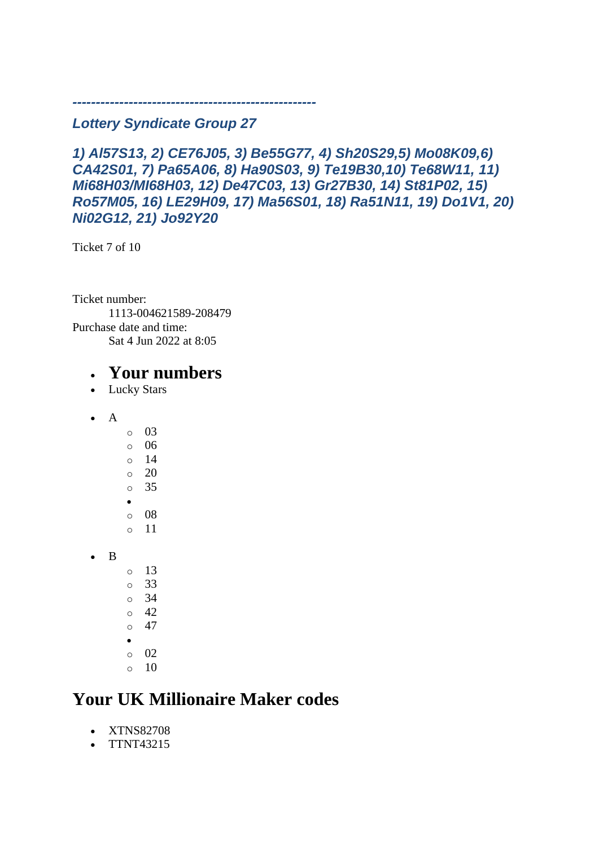#### *---------------------------------------------------- Lottery Syndicate Group 27*

*1) Al57S13, 2) CE76J05, 3) Be55G77, 4) Sh20S29,5) Mo08K09,6) CA42S01, 7) Pa65A06, 8) Ha90S03, 9) Te19B30,10) Te68W11, 11) Mi68H03/MI68H03, 12) De47C03, 13) Gr27B30, 14) St81P02, 15) Ro57M05, 16) LE29H09, 17) Ma56S01, 18) Ra51N11, 19) Do1V1, 20) Ni02G12, 21) Jo92Y20*

Ticket 7 of 10

Ticket number: 1113-004621589-208479 Purchase date and time: Sat 4 Jun 2022 at 8:05

#### • **Your numbers**

- Lucky Stars
- $\bullet$  A

• B

- o 03 o 06  $\circ$  14  $\circ$  20 o 35 • o 08 o 11  $\circ$  13 o 33 o 34  $\circ$  42
- $\circ$  47
- •
- o 02
- $\circ$  10

### **Your UK Millionaire Maker codes**

- XTNS82708
- TTNT43215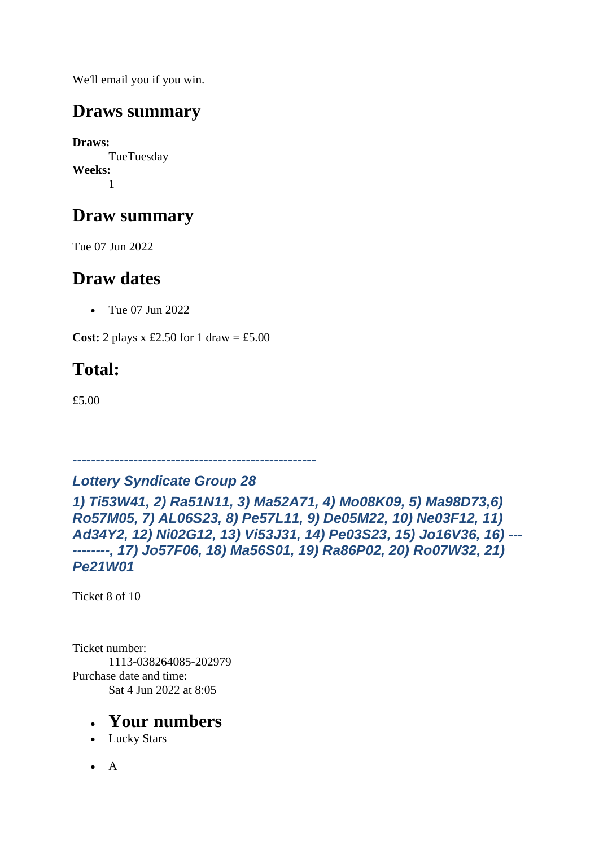We'll email you if you win.

### **Draws summary**

**Draws:** TueTuesday **Weeks:** 1

## **Draw summary**

Tue 07 Jun 2022

### **Draw dates**

• Tue 07 Jun 2022

**Cost:** 2 plays x £2.50 for 1 draw = £5.00

# **Total:**

£5.00

*---------------------------------------------------- Lottery Syndicate Group 28*

*1) Ti53W41, 2) Ra51N11, 3) Ma52A71, 4) Mo08K09, 5) Ma98D73,6) Ro57M05, 7) AL06S23, 8) Pe57L11, 9) De05M22, 10) Ne03F12, 11) Ad34Y2, 12) Ni02G12, 13) Vi53J31, 14) Pe03S23, 15) Jo16V36, 16) --- --------, 17) Jo57F06, 18) Ma56S01, 19) Ra86P02, 20) Ro07W32, 21) Pe21W01*

Ticket 8 of 10

Ticket number: 1113-038264085-202979 Purchase date and time: Sat 4 Jun 2022 at 8:05

- Lucky Stars
- $\bullet$  A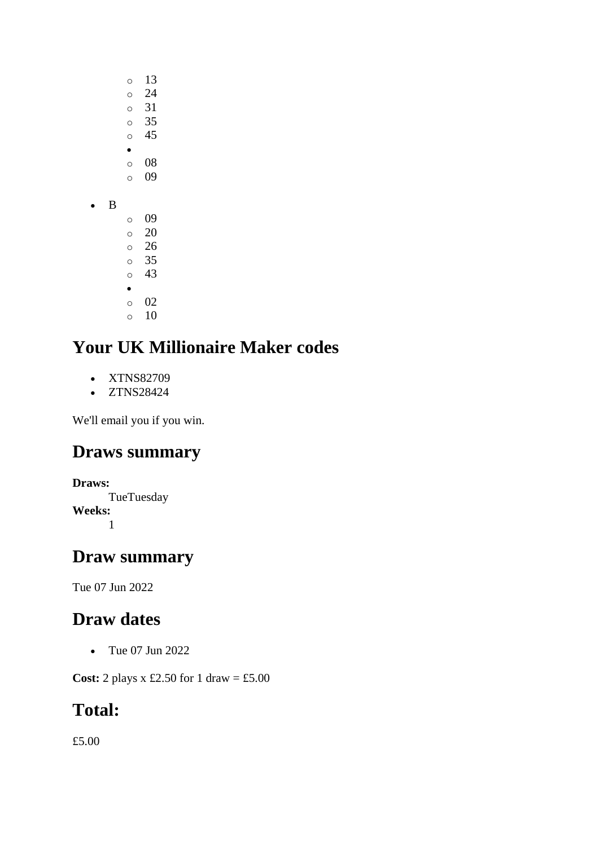- o 13
- o 24
- o 31 o 35
- o 45
- •
- o 08
- o 09
- B
- o 09 o 20 o 26 o 35 o 43 • o 02  $\circ$  10

- XTNS82709
- ZTNS28424

We'll email you if you win.

# **Draws summary**

#### **Draws:**

TueTuesday **Weeks:** 1

### **Draw summary**

Tue 07 Jun 2022

### **Draw dates**

• Tue 07 Jun 2022

**Cost:** 2 plays x £2.50 for 1 draw = £5.00

# **Total:**

£5.00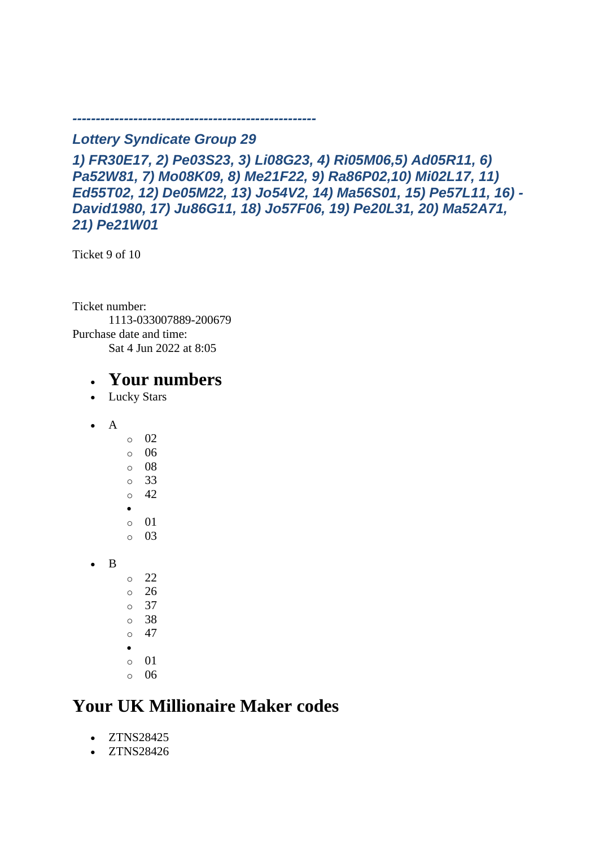*Lottery Syndicate Group 29*

*----------------------------------------------------*

*1) FR30E17, 2) Pe03S23, 3) Li08G23, 4) Ri05M06,5) Ad05R11, 6) Pa52W81, 7) Mo08K09, 8) Me21F22, 9) Ra86P02,10) Mi02L17, 11) Ed55T02, 12) De05M22, 13) Jo54V2, 14) Ma56S01, 15) Pe57L11, 16) - David1980, 17) Ju86G11, 18) Jo57F06, 19) Pe20L31, 20) Ma52A71, 21) Pe21W01*

Ticket 9 of 10

Ticket number: 1113-033007889-200679 Purchase date and time: Sat 4 Jun 2022 at 8:05

#### • **Your numbers**

- Lucky Stars
- $\bullet$  A

• B

- o 02 o 06 o 08 o 33  $\circ$  42 • o 01 o 03  $\circ$  22  $\degree$  26
- o 37
- o 38
- $\circ$  47
- o 01
- o 06

### **Your UK Millionaire Maker codes**

- ZTNS28425
- ZTNS28426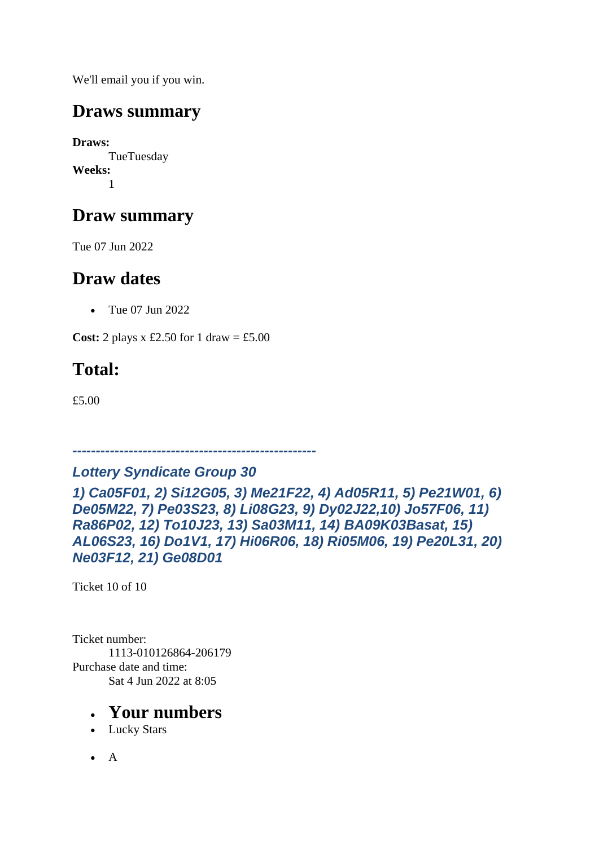We'll email you if you win.

### **Draws summary**

**Draws:** TueTuesday **Weeks:** 1

## **Draw summary**

Tue 07 Jun 2022

### **Draw dates**

• Tue 07 Jun 2022

**Cost:** 2 plays x £2.50 for 1 draw = £5.00

# **Total:**

£5.00

*----------------------------------------------------*

#### *Lottery Syndicate Group 30*

*1) Ca05F01, 2) Si12G05, 3) Me21F22, 4) Ad05R11, 5) Pe21W01, 6) De05M22, 7) Pe03S23, 8) Li08G23, 9) Dy02J22,10) Jo57F06, 11) Ra86P02, 12) To10J23, 13) Sa03M11, 14) BA09K03Basat, 15) AL06S23, 16) Do1V1, 17) Hi06R06, 18) Ri05M06, 19) Pe20L31, 20) Ne03F12, 21) Ge08D01*

Ticket 10 of 10

Ticket number: 1113-010126864-206179 Purchase date and time: Sat 4 Jun 2022 at 8:05

- Lucky Stars
- $\bullet$  A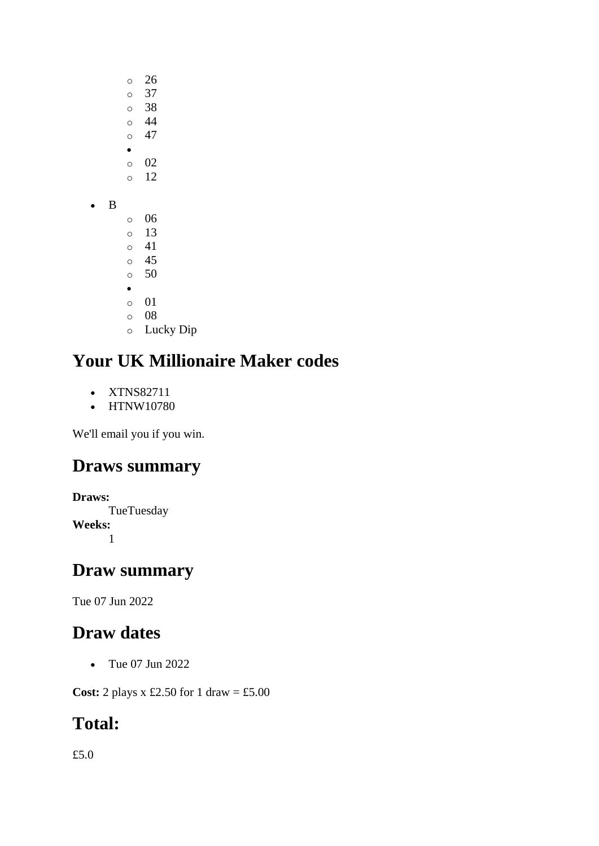- o 26
- $\circ$  37 o 38
- $\circ$  44
- $\circ$  47
- $\circ$  02
- o 12
- B
- o 06 o 13 o 41 o 45 o 50 • o 01 o 08 o Lucky Dip

- XTNS82711
- HTNW10780

We'll email you if you win.

# **Draws summary**

```
Draws:
      TueTuesday
Weeks:
      1
```
# **Draw summary**

Tue 07 Jun 2022

# **Draw dates**

• Tue 07 Jun 2022

**Cost:** 2 plays x £2.50 for 1 draw = £5.00

# **Total:**

£5.0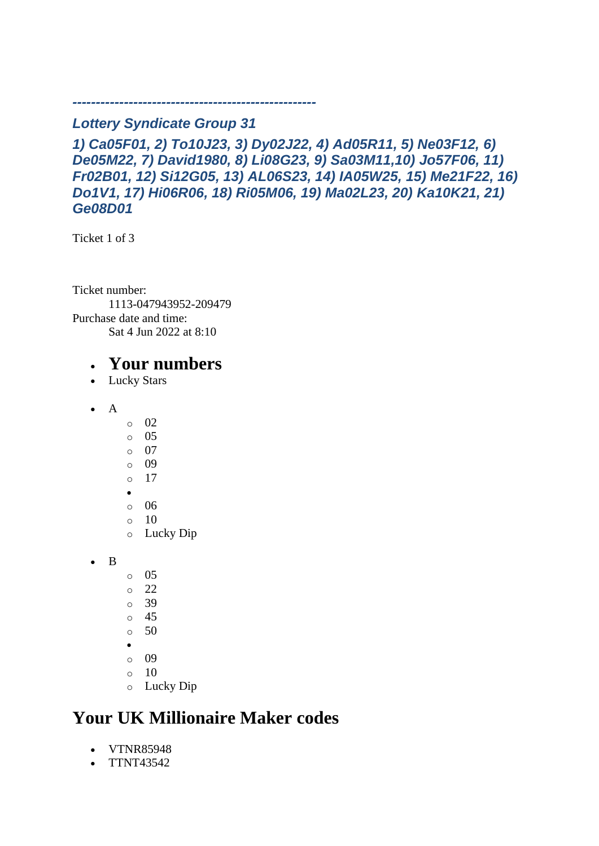#### *Lottery Syndicate Group 31*

*----------------------------------------------------*

*1) Ca05F01, 2) To10J23, 3) Dy02J22, 4) Ad05R11, 5) Ne03F12, 6) De05M22, 7) David1980, 8) Li08G23, 9) Sa03M11,10) Jo57F06, 11) Fr02B01, 12) Si12G05, 13) AL06S23, 14) IA05W25, 15) Me21F22, 16) Do1V1, 17) Hi06R06, 18) Ri05M06, 19) Ma02L23, 20) Ka10K21, 21) Ge08D01*

Ticket 1 of 3

Ticket number: 1113-047943952-209479 Purchase date and time: Sat 4 Jun 2022 at 8:10

#### • **Your numbers**

- Lucky Stars
- $\bullet$  A
- o 02
- $\circ$  05
- o 07
- o 09
- o 17
- •
- o 06  $\circ$  10
- o Lucky Dip

• B

- $\circ$  05
- $\degree$  22
- o 39
- $\circ$  45
- $\circ$  50
- •
- o 09
- $\circ$  10
- o Lucky Dip

# **Your UK Millionaire Maker codes**

- VTNR85948
- TTNT43542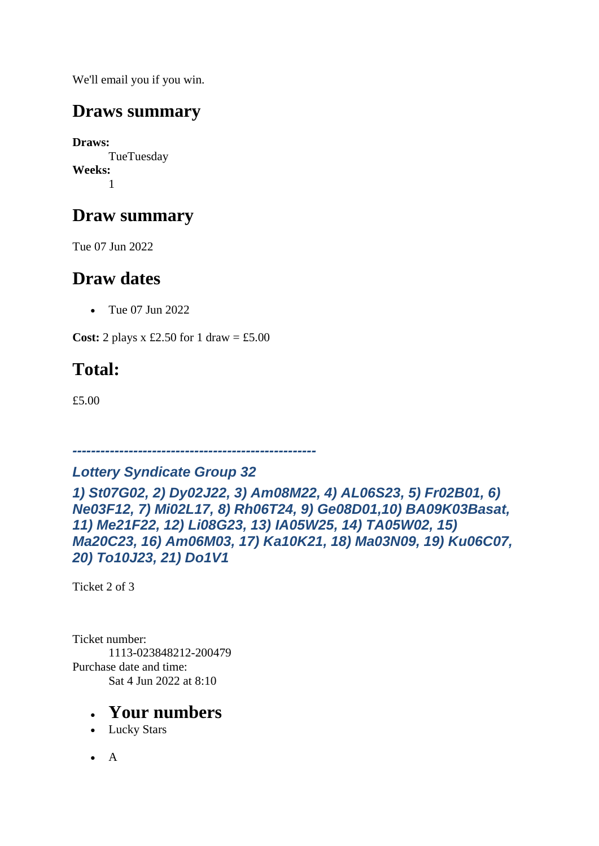We'll email you if you win.

### **Draws summary**

**Draws:** TueTuesday **Weeks:** 1

## **Draw summary**

Tue 07 Jun 2022

### **Draw dates**

• Tue 07 Jun 2022

**Cost:** 2 plays x £2.50 for 1 draw = £5.00

# **Total:**

£5.00

*----------------------------------------------------*

*Lottery Syndicate Group 32 1) St07G02, 2) Dy02J22, 3) Am08M22, 4) AL06S23, 5) Fr02B01, 6) Ne03F12, 7) Mi02L17, 8) Rh06T24, 9) Ge08D01,10) BA09K03Basat, 11) Me21F22, 12) Li08G23, 13) IA05W25, 14) TA05W02, 15) Ma20C23, 16) Am06M03, 17) Ka10K21, 18) Ma03N09, 19) Ku06C07, 20) To10J23, 21) Do1V1*

Ticket 2 of 3

Ticket number: 1113-023848212-200479 Purchase date and time: Sat 4 Jun 2022 at 8:10

- Lucky Stars
- $\bullet$  A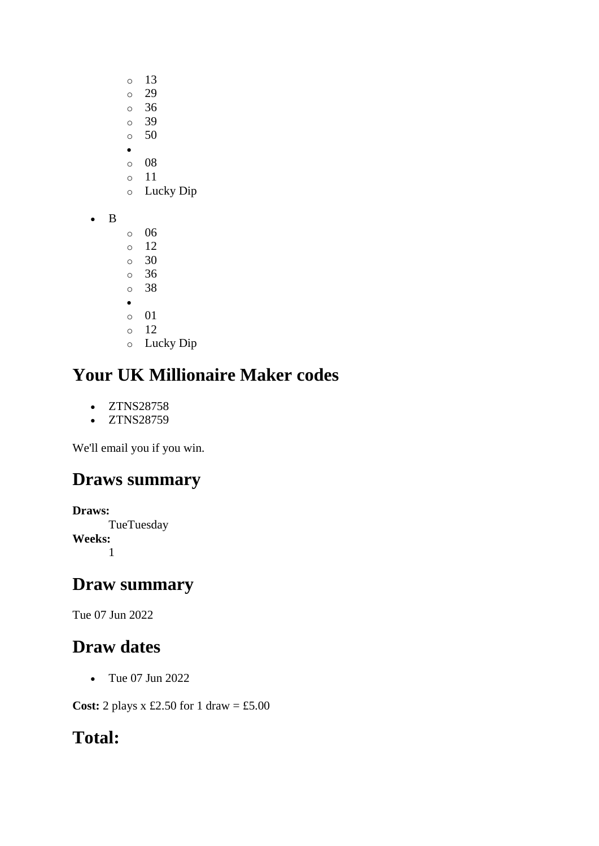- o 13
- o 29
- o 36 o 39
- $\circ$  50
- •
- o 08
- o 11
- o Lucky Dip
- B
- o 06
- o 12
- o 30 o 36
- o 38
- •
- o 01
- $\circ$  12
- o Lucky Dip

- ZTNS28758
- ZTNS28759

We'll email you if you win.

# **Draws summary**

```
Draws:
      TueTuesday
Weeks:
      1
```
### **Draw summary**

Tue 07 Jun 2022

# **Draw dates**

• Tue 07 Jun 2022

**Cost:** 2 plays x £2.50 for 1 draw = £5.00

# **Total:**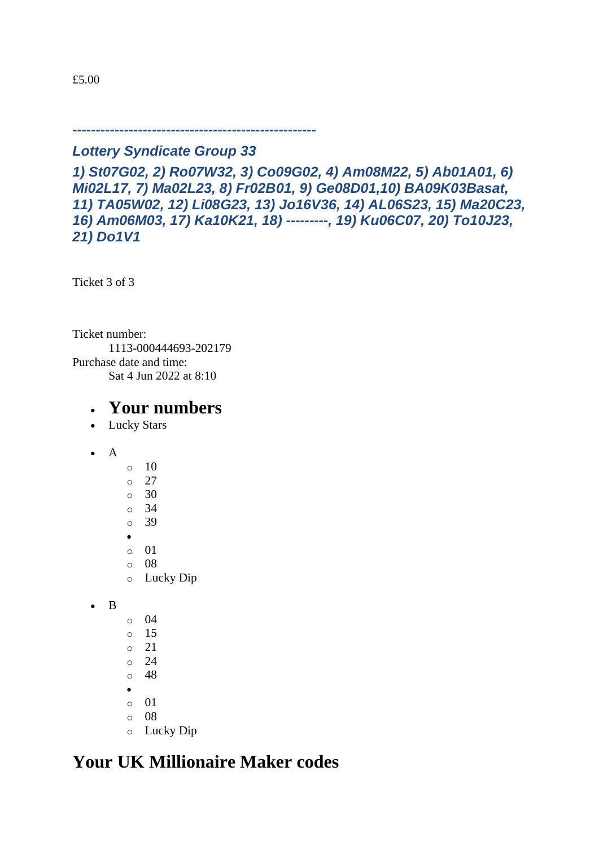£5.00

#### *----------------------------------------------------*

#### *Lottery Syndicate Group 33*

*1) St07G02, 2) Ro07W32, 3) Co09G02, 4) Am08M22, 5) Ab01A01, 6) Mi02L17, 7) Ma02L23, 8) Fr02B01, 9) Ge08D01,10) BA09K03Basat, 11) TA05W02, 12) Li08G23, 13) Jo16V36, 14) AL06S23, 15) Ma20C23, 16) Am06M03, 17) Ka10K21, 18) ---------, 19) Ku06C07, 20) To10J23, 21) Do1V1*

Ticket 3 of 3

Ticket number: 1113-000444693-202179 Purchase date and time: Sat 4 Jun 2022 at 8:10

#### • **Your numbers**

- Lucky Stars
- A
- $\circ$  10 o 27 o 30 o 34 o 39 •  $\circ$  01 o 08 o Lucky Dip

• B

- o 04
- o 15
- o 21
- o 24
- o 48
- •
- o 01  $\circ$  08
- o Lucky Dip

### **Your UK Millionaire Maker codes**